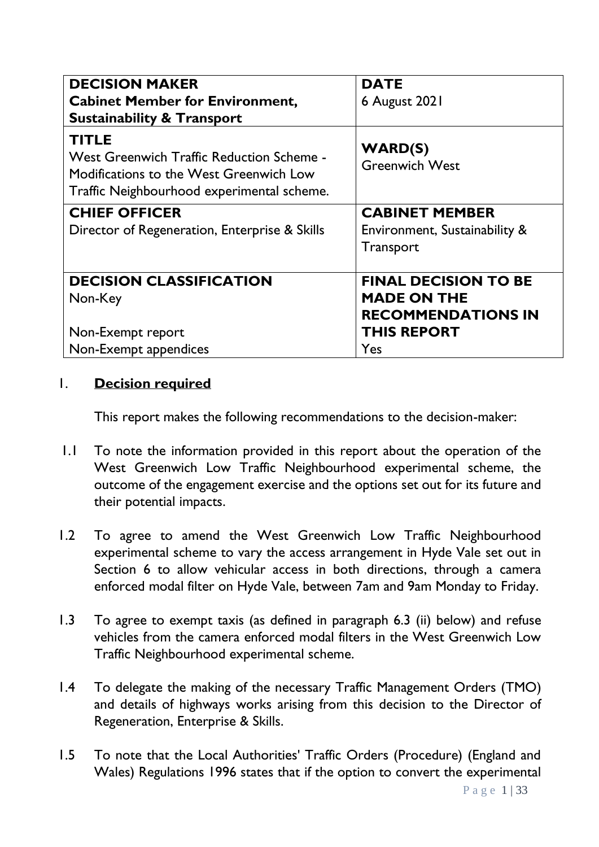| <b>DECISION MAKER</b><br><b>Cabinet Member for Environment,</b><br><b>Sustainability &amp; Transport</b>                                           | <b>DATE</b><br>6 August 2021                    |
|----------------------------------------------------------------------------------------------------------------------------------------------------|-------------------------------------------------|
| <b>TITLE</b><br>West Greenwich Traffic Reduction Scheme -<br>Modifications to the West Greenwich Low<br>Traffic Neighbourhood experimental scheme. | <b>WARD(S)</b><br><b>Greenwich West</b>         |
| <b>CHIEF OFFICER</b>                                                                                                                               | <b>CABINET MEMBER</b>                           |
| Director of Regeneration, Enterprise & Skills                                                                                                      | Environment, Sustainability &<br>Transport      |
| <b>DECISION CLASSIFICATION</b>                                                                                                                     | <b>FINAL DECISION TO BE</b>                     |
| Non-Key                                                                                                                                            | <b>MADE ON THE</b><br><b>RECOMMENDATIONS IN</b> |
| Non-Exempt report                                                                                                                                  | <b>THIS REPORT</b>                              |
| Non-Exempt appendices                                                                                                                              | <b>Yes</b>                                      |

### 1. **Decision required**

This report makes the following recommendations to the decision-maker:

- 1.1 To note the information provided in this report about the operation of the West Greenwich Low Traffic Neighbourhood experimental scheme, the outcome of the engagement exercise and the options set out for its future and their potential impacts.
- 1.2 To agree to amend the West Greenwich Low Traffic Neighbourhood experimental scheme to vary the access arrangement in Hyde Vale set out in Section 6 to allow vehicular access in both directions, through a camera enforced modal filter on Hyde Vale, between 7am and 9am Monday to Friday.
- 1.3 To agree to exempt taxis (as defined in paragraph 6.3 (ii) below) and refuse vehicles from the camera enforced modal filters in the West Greenwich Low Traffic Neighbourhood experimental scheme.
- 1.4 To delegate the making of the necessary Traffic Management Orders (TMO) and details of highways works arising from this decision to the Director of Regeneration, Enterprise & Skills.
- 1.5 To note that the Local Authorities' Traffic Orders (Procedure) (England and Wales) Regulations 1996 states that if the option to convert the experimental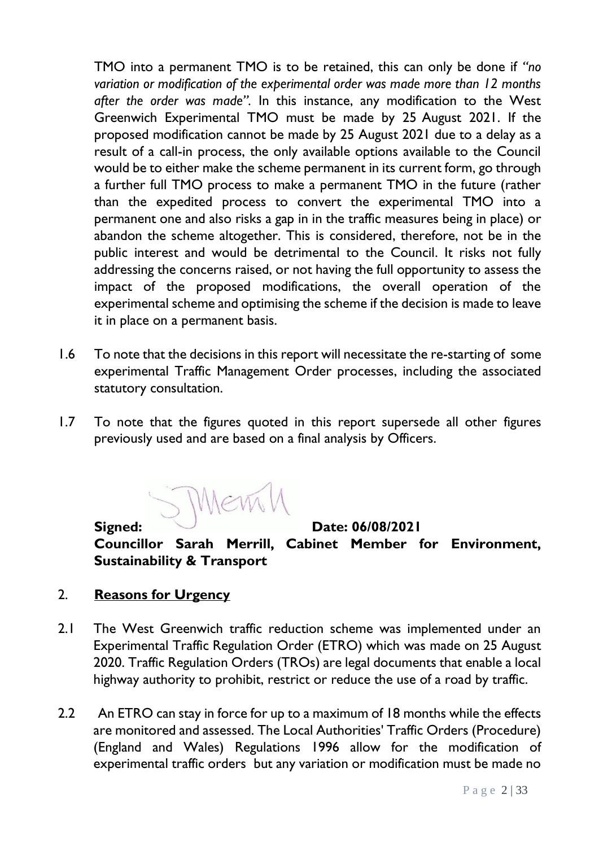TMO into a permanent TMO is to be retained, this can only be done if *"no variation or modification of the experimental order was made more than 12 months after the order was made".* In this instance, any modification to the West Greenwich Experimental TMO must be made by 25 August 2021. If the proposed modification cannot be made by 25 August 2021 due to a delay as a result of a call-in process, the only available options available to the Council would be to either make the scheme permanent in its current form, go through a further full TMO process to make a permanent TMO in the future (rather than the expedited process to convert the experimental TMO into a permanent one and also risks a gap in in the traffic measures being in place) or abandon the scheme altogether. This is considered, therefore, not be in the public interest and would be detrimental to the Council. It risks not fully addressing the concerns raised, or not having the full opportunity to assess the impact of the proposed modifications, the overall operation of the experimental scheme and optimising the scheme if the decision is made to leave it in place on a permanent basis.

- 1.6 To note that the decisions in this report will necessitate the re-starting of some experimental Traffic Management Order processes, including the associated statutory consultation.
- 1.7 To note that the figures quoted in this report supersede all other figures previously used and are based on a final analysis by Officers.

S MEMI

**Signed:** Date: 06/08/2021

**Councillor Sarah Merrill, Cabinet Member for Environment, Sustainability & Transport**

### 2. **Reasons for Urgency**

- 2.1 The West Greenwich traffic reduction scheme was implemented under an Experimental Traffic Regulation Order (ETRO) which was made on 25 August 2020. Traffic Regulation Orders (TROs) are legal documents that enable a local highway authority to prohibit, restrict or reduce the use of a road by traffic.
- 2.2 An ETRO can stay in force for up to a maximum of 18 months while the effects are monitored and assessed. The Local Authorities' Traffic Orders (Procedure) (England and Wales) Regulations 1996 allow for the modification of experimental traffic orders but any variation or modification must be made no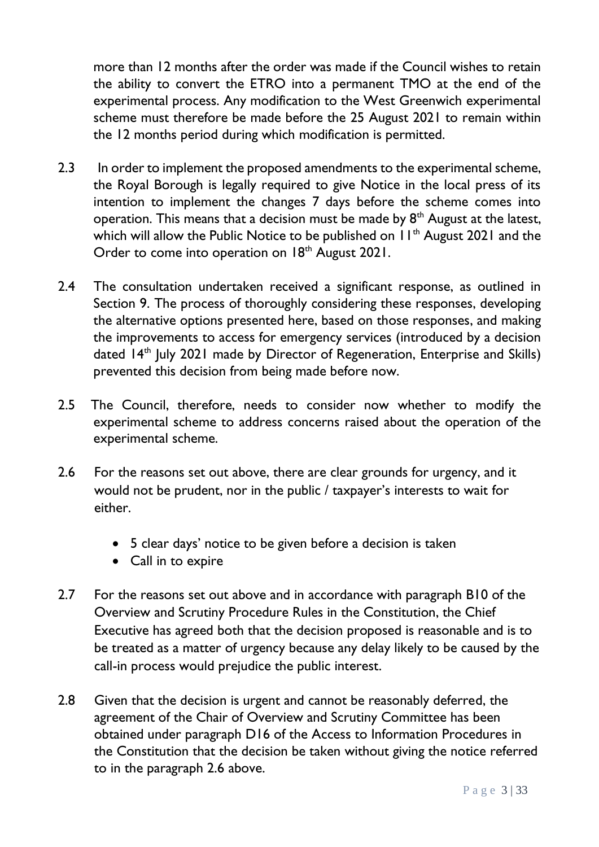more than 12 months after the order was made if the Council wishes to retain the ability to convert the ETRO into a permanent TMO at the end of the experimental process. Any modification to the West Greenwich experimental scheme must therefore be made before the 25 August 2021 to remain within the 12 months period during which modification is permitted.

- 2.3 In order to implement the proposed amendments to the experimental scheme, the Royal Borough is legally required to give Notice in the local press of its intention to implement the changes 7 days before the scheme comes into operation. This means that a decision must be made by  $8<sup>th</sup>$  August at the latest, which will allow the Public Notice to be published on  $11<sup>th</sup>$  August 2021 and the Order to come into operation on 18<sup>th</sup> August 2021.
- 2.4 The consultation undertaken received a significant response, as outlined in Section 9. The process of thoroughly considering these responses, developing the alternative options presented here, based on those responses, and making the improvements to access for emergency services (introduced by a decision dated 14<sup>th</sup> July 2021 made by Director of Regeneration, Enterprise and Skills) prevented this decision from being made before now.
- 2.5 The Council, therefore, needs to consider now whether to modify the experimental scheme to address concerns raised about the operation of the experimental scheme.
- 2.6 For the reasons set out above, there are clear grounds for urgency, and it would not be prudent, nor in the public / taxpayer's interests to wait for either.
	- 5 clear days' notice to be given before a decision is taken
	- Call in to expire
- 2.7 For the reasons set out above and in accordance with paragraph B10 of the Overview and Scrutiny Procedure Rules in the Constitution, the Chief Executive has agreed both that the decision proposed is reasonable and is to be treated as a matter of urgency because any delay likely to be caused by the call-in process would prejudice the public interest.
- 2.8 Given that the decision is urgent and cannot be reasonably deferred, the agreement of the Chair of Overview and Scrutiny Committee has been obtained under paragraph D16 of the Access to Information Procedures in the Constitution that the decision be taken without giving the notice referred to in the paragraph 2.6 above.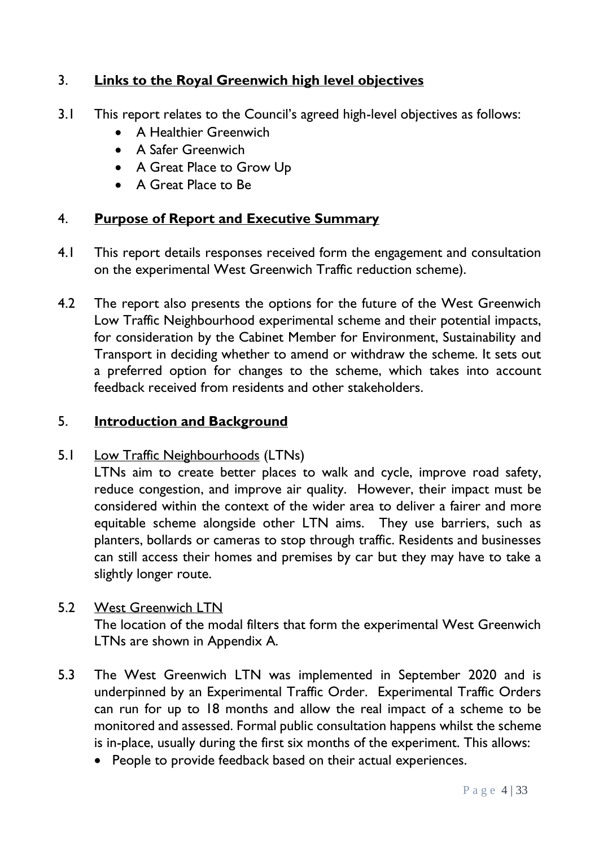# 3. **Links to the Royal Greenwich high level objectives**

- 3.1 This report relates to the Council's agreed high-level objectives as follows:
	- A Healthier Greenwich
	- A Safer Greenwich
	- A Great Place to Grow Up
	- A Great Place to Be

# 4. **Purpose of Report and Executive Summary**

- 4.1 This report details responses received form the engagement and consultation on the experimental West Greenwich Traffic reduction scheme).
- 4.2 The report also presents the options for the future of the West Greenwich Low Traffic Neighbourhood experimental scheme and their potential impacts, for consideration by the Cabinet Member for Environment, Sustainability and Transport in deciding whether to amend or withdraw the scheme. It sets out a preferred option for changes to the scheme, which takes into account feedback received from residents and other stakeholders.

# 5. **Introduction and Background**

# 5.1 Low Traffic Neighbourhoods (LTNs)

LTNs aim to create better places to walk and cycle, improve road safety, reduce congestion, and improve air quality. However, their impact must be considered within the context of the wider area to deliver a fairer and more equitable scheme alongside other LTN aims. They use barriers, such as planters, bollards or cameras to stop through traffic. Residents and businesses can still access their homes and premises by car but they may have to take a slightly longer route.

# 5.2 West Greenwich LTN

The location of the modal filters that form the experimental West Greenwich LTNs are shown in Appendix A.

- 5.3 The West Greenwich LTN was implemented in September 2020 and is underpinned by an Experimental Traffic Order. Experimental Traffic Orders can run for up to 18 months and allow the real impact of a scheme to be monitored and assessed. Formal public consultation happens whilst the scheme is in-place, usually during the first six months of the experiment. This allows:
	- People to provide feedback based on their actual experiences.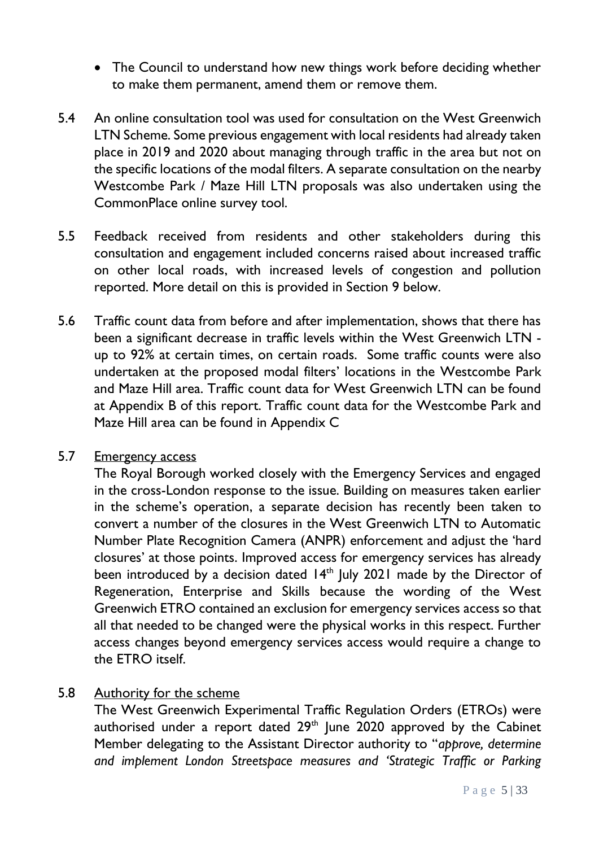- The Council to understand how new things work before deciding whether to make them permanent, amend them or remove them.
- 5.4 An online consultation tool was used for consultation on the West Greenwich LTN Scheme. Some previous engagement with local residents had already taken place in 2019 and 2020 about managing through traffic in the area but not on the specific locations of the modal filters. A separate consultation on the nearby Westcombe Park / Maze Hill LTN proposals was also undertaken using the CommonPlace online survey tool.
- 5.5 Feedback received from residents and other stakeholders during this consultation and engagement included concerns raised about increased traffic on other local roads, with increased levels of congestion and pollution reported. More detail on this is provided in Section 9 below.
- 5.6 Traffic count data from before and after implementation, shows that there has been a significant decrease in traffic levels within the West Greenwich LTN up to 92% at certain times, on certain roads. Some traffic counts were also undertaken at the proposed modal filters' locations in the Westcombe Park and Maze Hill area. Traffic count data for West Greenwich LTN can be found at Appendix B of this report. Traffic count data for the Westcombe Park and Maze Hill area can be found in Appendix C

### 5.7 Emergency access

The Royal Borough worked closely with the Emergency Services and engaged in the cross-London response to the issue. Building on measures taken earlier in the scheme's operation, a separate decision has recently been taken to convert a number of the closures in the West Greenwich LTN to Automatic Number Plate Recognition Camera (ANPR) enforcement and adjust the 'hard closures' at those points. Improved access for emergency services has already been introduced by a decision dated 14<sup>th</sup> July 2021 made by the Director of Regeneration, Enterprise and Skills because the wording of the West Greenwich ETRO contained an exclusion for emergency services access so that all that needed to be changed were the physical works in this respect. Further access changes beyond emergency services access would require a change to the ETRO itself.

### 5.8 Authority for the scheme

The West Greenwich Experimental Traffic Regulation Orders (ETROs) were authorised under a report dated  $29<sup>th</sup>$  June  $2020$  approved by the Cabinet Member delegating to the Assistant Director authority to "*approve, determine and implement London Streetspace measures and 'Strategic Traffic or Parking*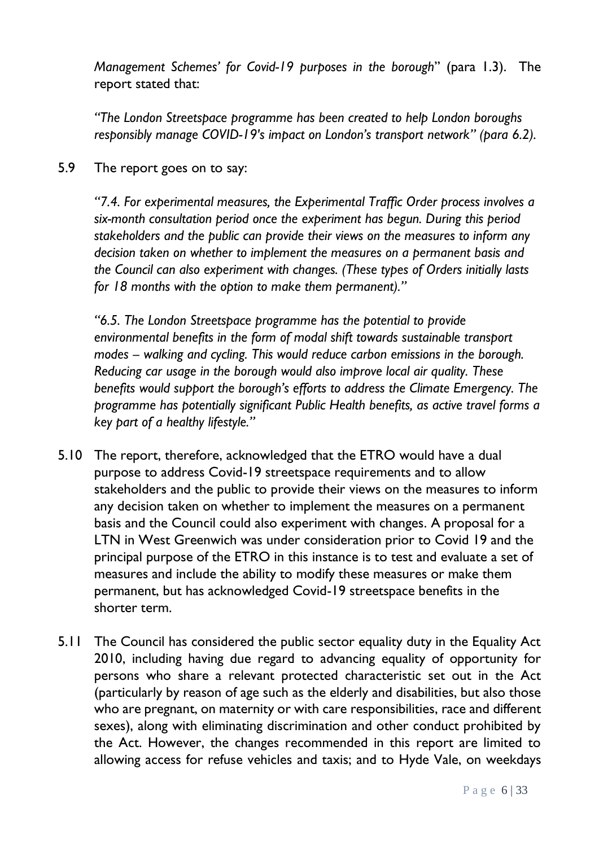*Management Schemes' for Covid-19 purposes in the borough*" (para 1.3). The report stated that:

*"The London Streetspace programme has been created to help London boroughs responsibly manage COVID-19's impact on London's transport network" (para 6.2).*

5.9 The report goes on to say:

*"7.4. For experimental measures, the Experimental Traffic Order process involves a six-month consultation period once the experiment has begun. During this period stakeholders and the public can provide their views on the measures to inform any decision taken on whether to implement the measures on a permanent basis and the Council can also experiment with changes. (These types of Orders initially lasts for 18 months with the option to make them permanent)."*

*"6.5. The London Streetspace programme has the potential to provide environmental benefits in the form of modal shift towards sustainable transport modes – walking and cycling. This would reduce carbon emissions in the borough. Reducing car usage in the borough would also improve local air quality. These benefits would support the borough's efforts to address the Climate Emergency. The programme has potentially significant Public Health benefits, as active travel forms a key part of a healthy lifestyle."*

- 5.10 The report, therefore, acknowledged that the ETRO would have a dual purpose to address Covid-19 streetspace requirements and to allow stakeholders and the public to provide their views on the measures to inform any decision taken on whether to implement the measures on a permanent basis and the Council could also experiment with changes. A proposal for a LTN in West Greenwich was under consideration prior to Covid 19 and the principal purpose of the ETRO in this instance is to test and evaluate a set of measures and include the ability to modify these measures or make them permanent, but has acknowledged Covid-19 streetspace benefits in the shorter term.
- 5.11 The Council has considered the public sector equality duty in the Equality Act 2010, including having due regard to advancing equality of opportunity for persons who share a relevant protected characteristic set out in the Act (particularly by reason of age such as the elderly and disabilities, but also those who are pregnant, on maternity or with care responsibilities, race and different sexes), along with eliminating discrimination and other conduct prohibited by the Act. However, the changes recommended in this report are limited to allowing access for refuse vehicles and taxis; and to Hyde Vale, on weekdays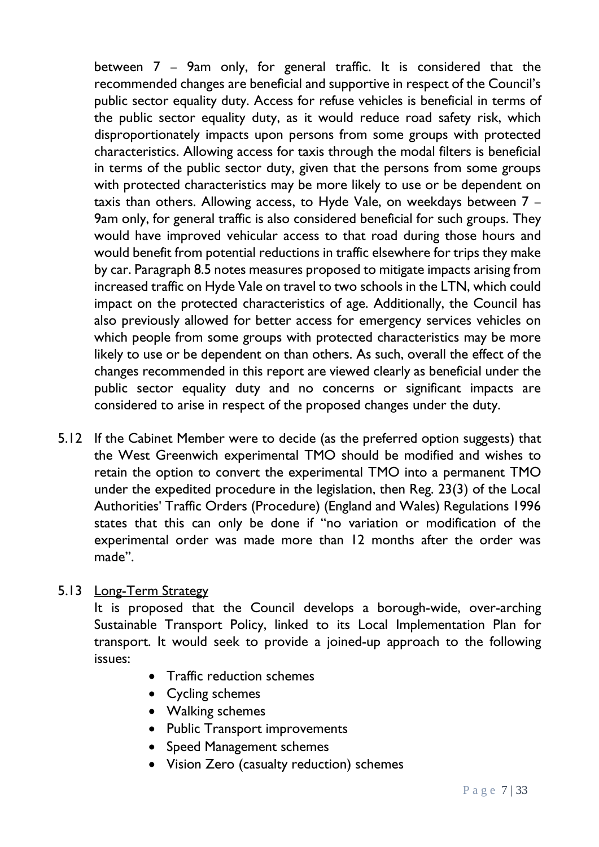between 7 – 9am only, for general traffic. It is considered that the recommended changes are beneficial and supportive in respect of the Council's public sector equality duty. Access for refuse vehicles is beneficial in terms of the public sector equality duty, as it would reduce road safety risk, which disproportionately impacts upon persons from some groups with protected characteristics. Allowing access for taxis through the modal filters is beneficial in terms of the public sector duty, given that the persons from some groups with protected characteristics may be more likely to use or be dependent on taxis than others. Allowing access, to Hyde Vale, on weekdays between 7 – 9am only, for general traffic is also considered beneficial for such groups. They would have improved vehicular access to that road during those hours and would benefit from potential reductions in traffic elsewhere for trips they make by car. Paragraph 8.5 notes measures proposed to mitigate impacts arising from increased traffic on Hyde Vale on travel to two schools in the LTN, which could impact on the protected characteristics of age. Additionally, the Council has also previously allowed for better access for emergency services vehicles on which people from some groups with protected characteristics may be more likely to use or be dependent on than others. As such, overall the effect of the changes recommended in this report are viewed clearly as beneficial under the public sector equality duty and no concerns or significant impacts are considered to arise in respect of the proposed changes under the duty.

5.12 If the Cabinet Member were to decide (as the preferred option suggests) that the West Greenwich experimental TMO should be modified and wishes to retain the option to convert the experimental TMO into a permanent TMO under the expedited procedure in the legislation, then Reg. 23(3) of the Local Authorities' Traffic Orders (Procedure) (England and Wales) Regulations 1996 states that this can only be done if "no variation or modification of the experimental order was made more than 12 months after the order was made".

# 5.13 Long-Term Strategy

It is proposed that the Council develops a borough-wide, over-arching Sustainable Transport Policy, linked to its Local Implementation Plan for transport. It would seek to provide a joined-up approach to the following issues:

- Traffic reduction schemes
- Cycling schemes
- Walking schemes
- Public Transport improvements
- Speed Management schemes
- Vision Zero (casualty reduction) schemes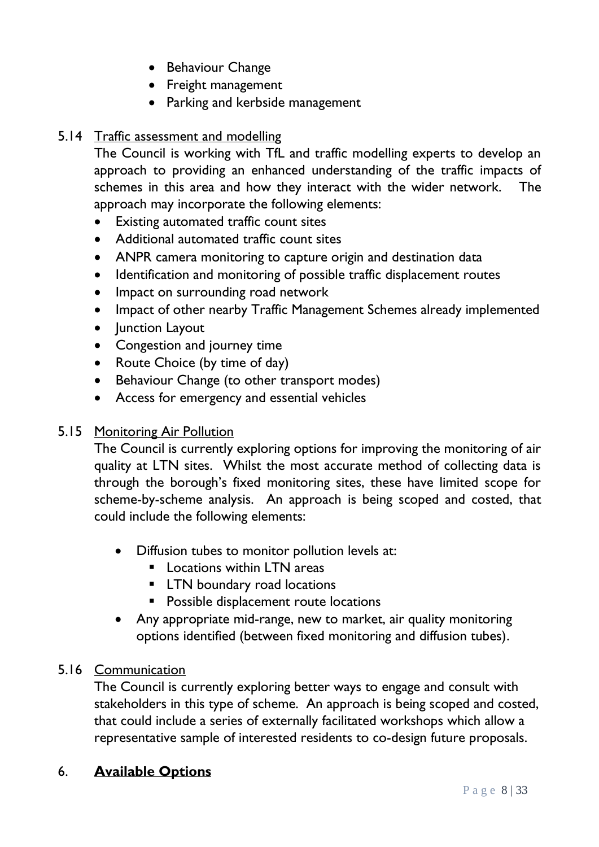- Behaviour Change
- Freight management
- Parking and kerbside management

# 5.14 Traffic assessment and modelling

The Council is working with TfL and traffic modelling experts to develop an approach to providing an enhanced understanding of the traffic impacts of schemes in this area and how they interact with the wider network. The approach may incorporate the following elements:

- Existing automated traffic count sites
- Additional automated traffic count sites
- ANPR camera monitoring to capture origin and destination data
- Identification and monitoring of possible traffic displacement routes
- Impact on surrounding road network
- Impact of other nearby Traffic Management Schemes already implemented
- Junction Layout
- Congestion and journey time
- Route Choice (by time of day)
- Behaviour Change (to other transport modes)
- Access for emergency and essential vehicles

### 5.15 Monitoring Air Pollution

The Council is currently exploring options for improving the monitoring of air quality at LTN sites. Whilst the most accurate method of collecting data is through the borough's fixed monitoring sites, these have limited scope for scheme-by-scheme analysis. An approach is being scoped and costed, that could include the following elements:

- Diffusion tubes to monitor pollution levels at:
	- Locations within LTN areas
	- **EXECUTE:** LTN boundary road locations
	- **Possible displacement route locations**
- Any appropriate mid-range, new to market, air quality monitoring options identified (between fixed monitoring and diffusion tubes).

### 5.16 Communication

The Council is currently exploring better ways to engage and consult with stakeholders in this type of scheme. An approach is being scoped and costed, that could include a series of externally facilitated workshops which allow a representative sample of interested residents to co-design future proposals.

### 6. **Available Options**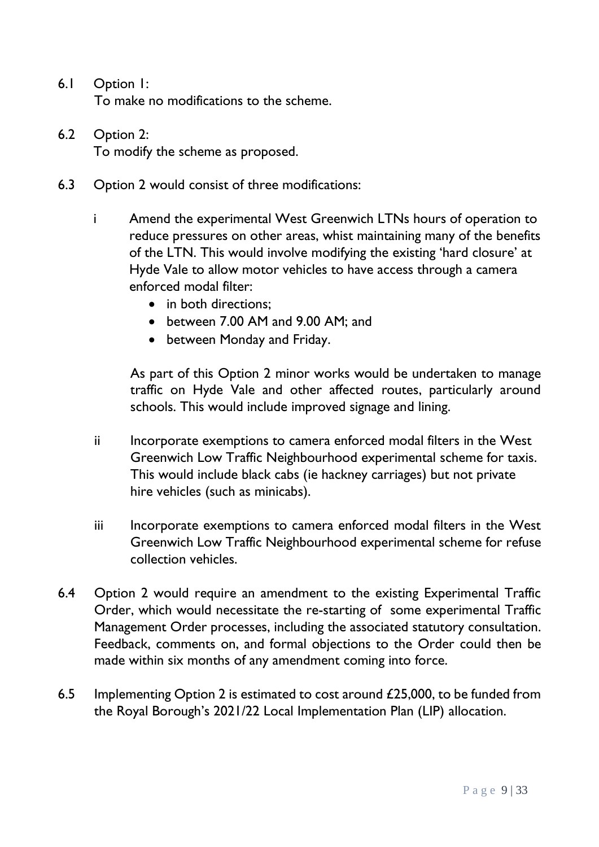- 6.1 Option 1: To make no modifications to the scheme.
- 6.2 Option 2: To modify the scheme as proposed.
- 6.3 Option 2 would consist of three modifications:
	- i Amend the experimental West Greenwich LTNs hours of operation to reduce pressures on other areas, whist maintaining many of the benefits of the LTN. This would involve modifying the existing 'hard closure' at Hyde Vale to allow motor vehicles to have access through a camera enforced modal filter:
		- in both directions:
		- between 7.00 AM and 9.00 AM; and
		- between Monday and Friday.

As part of this Option 2 minor works would be undertaken to manage traffic on Hyde Vale and other affected routes, particularly around schools. This would include improved signage and lining.

- ii lncorporate exemptions to camera enforced modal filters in the West Greenwich Low Traffic Neighbourhood experimental scheme for taxis. This would include black cabs (ie hackney carriages) but not private hire vehicles (such as minicabs).
- iii lncorporate exemptions to camera enforced modal filters in the West Greenwich Low Traffic Neighbourhood experimental scheme for refuse collection vehicles.
- 6.4 Option 2 would require an amendment to the existing Experimental Traffic Order, which would necessitate the re-starting of some experimental Traffic Management Order processes, including the associated statutory consultation. Feedback, comments on, and formal objections to the Order could then be made within six months of any amendment coming into force.
- 6.5 Implementing Option 2 is estimated to cost around £25,000, to be funded from the Royal Borough's 2021/22 Local Implementation Plan (LIP) allocation.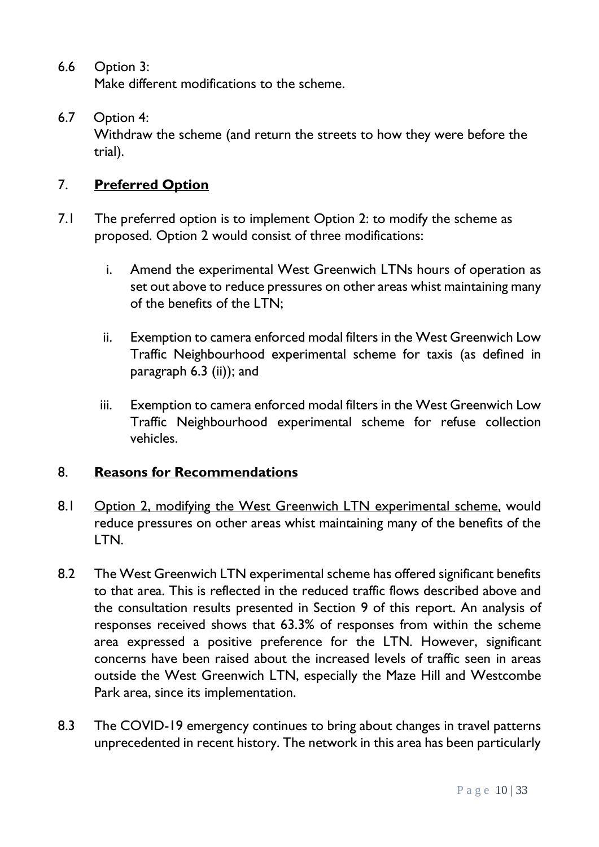6.6 Option 3:

Make different modifications to the scheme.

6.7 Option 4:

Withdraw the scheme (and return the streets to how they were before the trial).

### 7. **Preferred Option**

- 7.1 The preferred option is to implement Option 2: to modify the scheme as proposed. Option 2 would consist of three modifications:
	- i. Amend the experimental West Greenwich LTNs hours of operation as set out above to reduce pressures on other areas whist maintaining many of the benefits of the LTN;
	- ii. Exemption to camera enforced modal filters in the West Greenwich Low Traffic Neighbourhood experimental scheme for taxis (as defined in paragraph 6.3 (ii)); and
	- iii. Exemption to camera enforced modal filters in the West Greenwich Low Traffic Neighbourhood experimental scheme for refuse collection vehicles.

#### 8. **Reasons for Recommendations**

- 8.1 Option 2, modifying the West Greenwich LTN experimental scheme, would reduce pressures on other areas whist maintaining many of the benefits of the LTN.
- 8.2 The West Greenwich LTN experimental scheme has offered significant benefits to that area. This is reflected in the reduced traffic flows described above and the consultation results presented in Section 9 of this report. An analysis of responses received shows that 63.3% of responses from within the scheme area expressed a positive preference for the LTN. However, significant concerns have been raised about the increased levels of traffic seen in areas outside the West Greenwich LTN, especially the Maze Hill and Westcombe Park area, since its implementation.
- 8.3 The COVID-19 emergency continues to bring about changes in travel patterns unprecedented in recent history. The network in this area has been particularly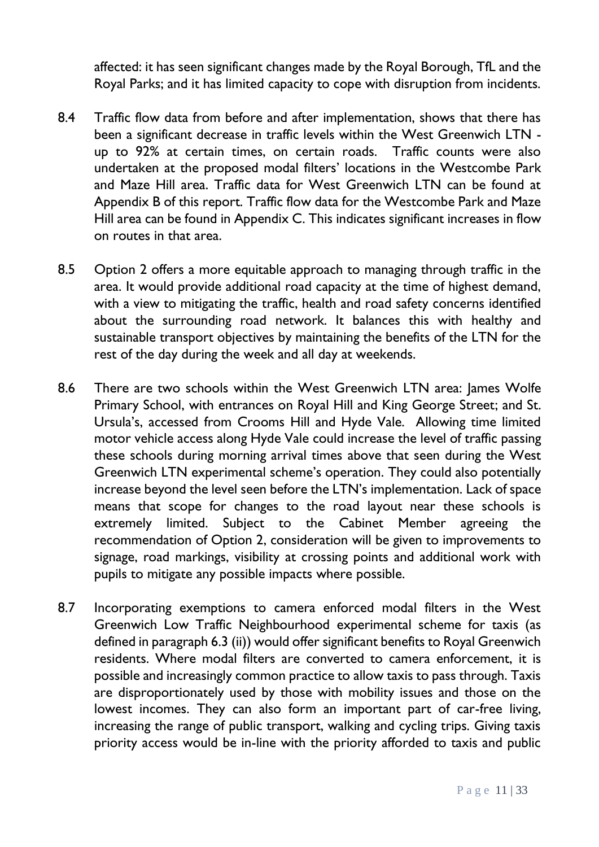affected: it has seen significant changes made by the Royal Borough, TfL and the Royal Parks; and it has limited capacity to cope with disruption from incidents.

- 8.4 Traffic flow data from before and after implementation, shows that there has been a significant decrease in traffic levels within the West Greenwich LTN up to 92% at certain times, on certain roads. Traffic counts were also undertaken at the proposed modal filters' locations in the Westcombe Park and Maze Hill area. Traffic data for West Greenwich LTN can be found at Appendix B of this report. Traffic flow data for the Westcombe Park and Maze Hill area can be found in Appendix C. This indicates significant increases in flow on routes in that area.
- 8.5 Option 2 offers a more equitable approach to managing through traffic in the area. It would provide additional road capacity at the time of highest demand, with a view to mitigating the traffic, health and road safety concerns identified about the surrounding road network. It balances this with healthy and sustainable transport objectives by maintaining the benefits of the LTN for the rest of the day during the week and all day at weekends.
- 8.6 There are two schools within the West Greenwich LTN area: James Wolfe Primary School, with entrances on Royal Hill and King George Street; and St. Ursula's, accessed from Crooms Hill and Hyde Vale. Allowing time limited motor vehicle access along Hyde Vale could increase the level of traffic passing these schools during morning arrival times above that seen during the West Greenwich LTN experimental scheme's operation. They could also potentially increase beyond the level seen before the LTN's implementation. Lack of space means that scope for changes to the road layout near these schools is extremely limited. Subject to the Cabinet Member agreeing the recommendation of Option 2, consideration will be given to improvements to signage, road markings, visibility at crossing points and additional work with pupils to mitigate any possible impacts where possible.
- 8.7 Incorporating exemptions to camera enforced modal filters in the West Greenwich Low Traffic Neighbourhood experimental scheme for taxis (as defined in paragraph 6.3 (ii)) would offer significant benefits to Royal Greenwich residents. Where modal filters are converted to camera enforcement, it is possible and increasingly common practice to allow taxis to pass through. Taxis are disproportionately used by those with mobility issues and those on the lowest incomes. They can also form an important part of car-free living, increasing the range of public transport, walking and cycling trips. Giving taxis priority access would be in-line with the priority afforded to taxis and public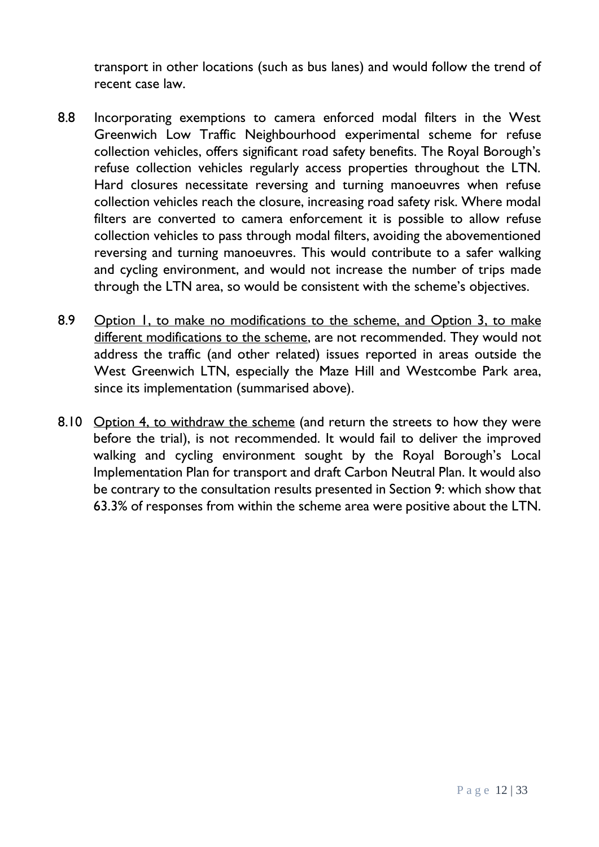transport in other locations (such as bus lanes) and would follow the trend of recent case law.

- 8.8 Incorporating exemptions to camera enforced modal filters in the West Greenwich Low Traffic Neighbourhood experimental scheme for refuse collection vehicles, offers significant road safety benefits. The Royal Borough's refuse collection vehicles regularly access properties throughout the LTN. Hard closures necessitate reversing and turning manoeuvres when refuse collection vehicles reach the closure, increasing road safety risk. Where modal filters are converted to camera enforcement it is possible to allow refuse collection vehicles to pass through modal filters, avoiding the abovementioned reversing and turning manoeuvres. This would contribute to a safer walking and cycling environment, and would not increase the number of trips made through the LTN area, so would be consistent with the scheme's objectives.
- 8.9 Option I, to make no modifications to the scheme, and Option 3, to make different modifications to the scheme, are not recommended. They would not address the traffic (and other related) issues reported in areas outside the West Greenwich LTN, especially the Maze Hill and Westcombe Park area, since its implementation (summarised above).
- 8.10 Option 4, to withdraw the scheme (and return the streets to how they were before the trial), is not recommended. It would fail to deliver the improved walking and cycling environment sought by the Royal Borough's Local Implementation Plan for transport and draft Carbon Neutral Plan. It would also be contrary to the consultation results presented in Section 9: which show that 63.3% of responses from within the scheme area were positive about the LTN.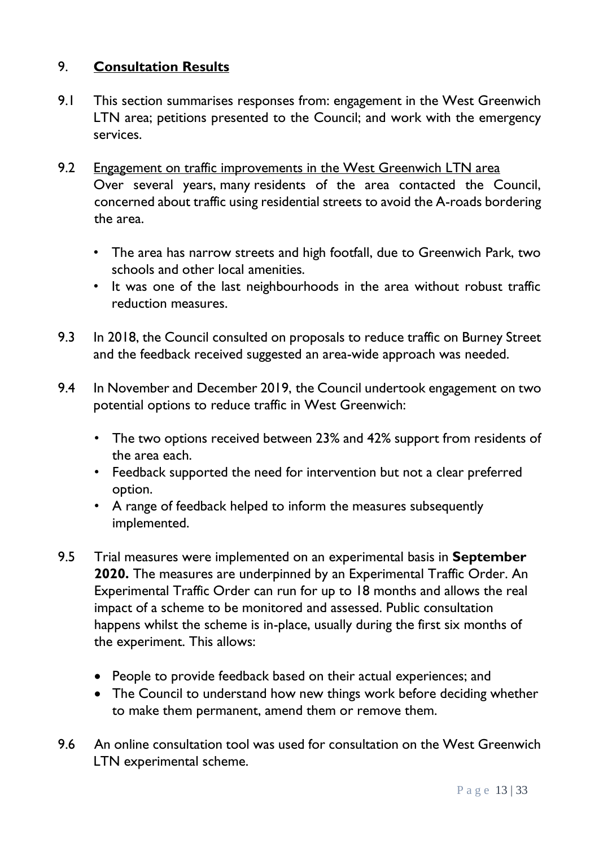# 9. **Consultation Results**

- 9.1 This section summarises responses from: engagement in the West Greenwich LTN area; petitions presented to the Council; and work with the emergency services.
- 9.2 Engagement on traffic improvements in the West Greenwich LTN area Over several years, many residents of the area contacted the Council, concerned about traffic using residential streets to avoid the A-roads bordering the area.
	- The area has narrow streets and high footfall, due to Greenwich Park, two schools and other local amenities.
	- It was one of the last neighbourhoods in the area without robust traffic reduction measures.
- 9.3 In 2018, the Council consulted on proposals to reduce traffic on Burney Street and the feedback received suggested an area-wide approach was needed.
- 9.4 In November and December 2019, the Council undertook engagement on two potential options to reduce traffic in West Greenwich:
	- The two options received between 23% and 42% support from residents of the area each.
	- Feedback supported the need for intervention but not a clear preferred option.
	- A range of feedback helped to inform the measures subsequently implemented.
- 9.5 Trial measures were implemented on an experimental basis in **September 2020.** The measures are underpinned by an Experimental Traffic Order. An Experimental Traffic Order can run for up to 18 months and allows the real impact of a scheme to be monitored and assessed. Public consultation happens whilst the scheme is in-place, usually during the first six months of the experiment. This allows:
	- People to provide feedback based on their actual experiences; and
	- The Council to understand how new things work before deciding whether to make them permanent, amend them or remove them.
- 9.6 An online consultation tool was used for consultation on the West Greenwich LTN experimental scheme.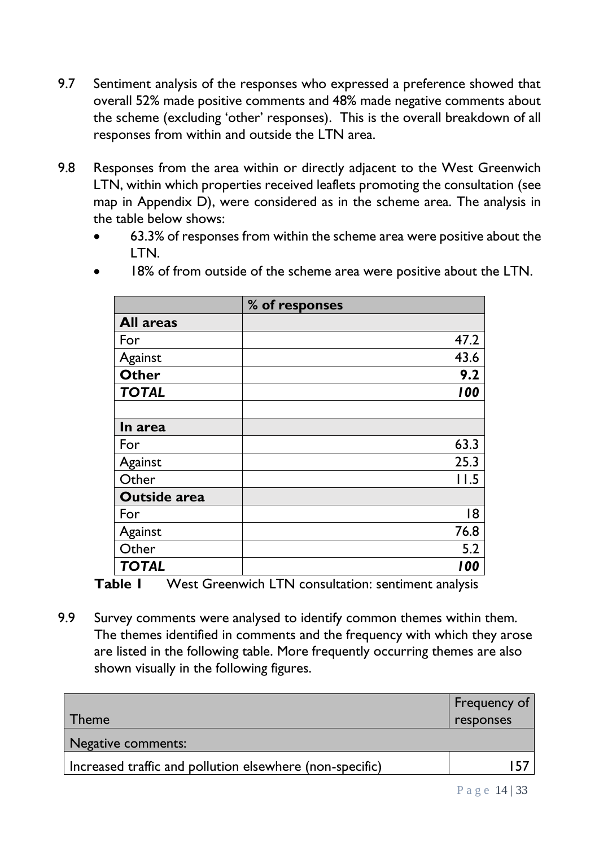- 9.7 Sentiment analysis of the responses who expressed a preference showed that overall 52% made positive comments and 48% made negative comments about the scheme (excluding 'other' responses). This is the overall breakdown of all responses from within and outside the LTN area.
- 9.8 Responses from the area within or directly adjacent to the West Greenwich LTN, within which properties received leaflets promoting the consultation (see map in Appendix D), were considered as in the scheme area. The analysis in the table below shows:
	- 63.3% of responses from within the scheme area were positive about the LTN.

|                     | % of responses |
|---------------------|----------------|
| <b>All areas</b>    |                |
| For                 | 47.2           |
| Against             | 43.6           |
| <b>Other</b>        | 9.2            |
| <b>TOTAL</b>        | 100            |
|                     |                |
| In area             |                |
| For                 | 63.3           |
| Against             | 25.3           |
| Other               | 11.5           |
| <b>Outside area</b> |                |
| For                 | 18             |
| Against             | 76.8           |
| Other               | 5.2            |
| <b>TOTAL</b>        | 100            |

18% of from outside of the scheme area were positive about the LTN.

**Table 1** West Greenwich LTN consultation: sentiment analysis

9.9 Survey comments were analysed to identify common themes within them. The themes identified in comments and the frequency with which they arose are listed in the following table. More frequently occurring themes are also shown visually in the following figures.

|                                                          | Frequency of |
|----------------------------------------------------------|--------------|
| Гheme                                                    | responses    |
| Negative comments:                                       |              |
| Increased traffic and pollution elsewhere (non-specific) | . 57         |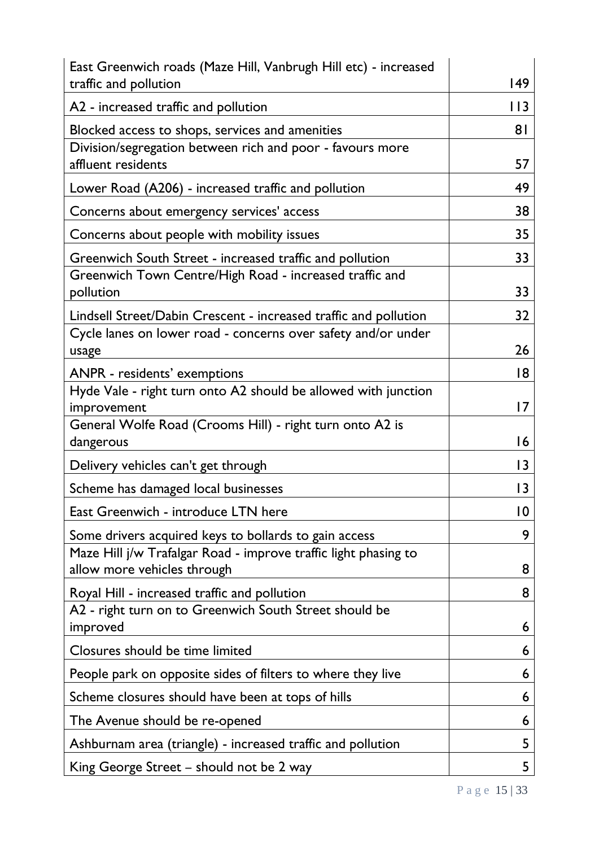| East Greenwich roads (Maze Hill, Vanbrugh Hill etc) - increased                                |                |
|------------------------------------------------------------------------------------------------|----------------|
| traffic and pollution                                                                          | 149            |
| A2 - increased traffic and pollution                                                           | 113            |
| Blocked access to shops, services and amenities                                                | 8 <sup>1</sup> |
| Division/segregation between rich and poor - favours more<br>affluent residents                | 57             |
| Lower Road (A206) - increased traffic and pollution                                            | 49             |
| Concerns about emergency services' access                                                      | 38             |
| Concerns about people with mobility issues                                                     | 35             |
| Greenwich South Street - increased traffic and pollution                                       | 33             |
| Greenwich Town Centre/High Road - increased traffic and<br>pollution                           | 33             |
| Lindsell Street/Dabin Crescent - increased traffic and pollution                               | 32             |
| Cycle lanes on lower road - concerns over safety and/or under<br>usage                         | 26             |
| <b>ANPR</b> - residents' exemptions                                                            | 18             |
| Hyde Vale - right turn onto A2 should be allowed with junction<br>improvement                  | 17             |
| General Wolfe Road (Crooms Hill) - right turn onto A2 is<br>dangerous                          | 16             |
| Delivery vehicles can't get through                                                            | 3              |
| Scheme has damaged local businesses                                                            | $\overline{3}$ |
| East Greenwich - introduce LTN here                                                            | 10             |
| Some drivers acquired keys to bollards to gain access                                          | 9              |
| Maze Hill j/w Trafalgar Road - improve traffic light phasing to<br>allow more vehicles through | 8              |
| Royal Hill - increased traffic and pollution                                                   | 8              |
| A2 - right turn on to Greenwich South Street should be<br>improved                             | 6              |
| Closures should be time limited                                                                | 6              |
| People park on opposite sides of filters to where they live                                    | 6              |
| Scheme closures should have been at tops of hills                                              | 6              |
| The Avenue should be re-opened                                                                 | 6              |
| Ashburnam area (triangle) - increased traffic and pollution                                    | 5              |
| King George Street – should not be 2 way                                                       | 5              |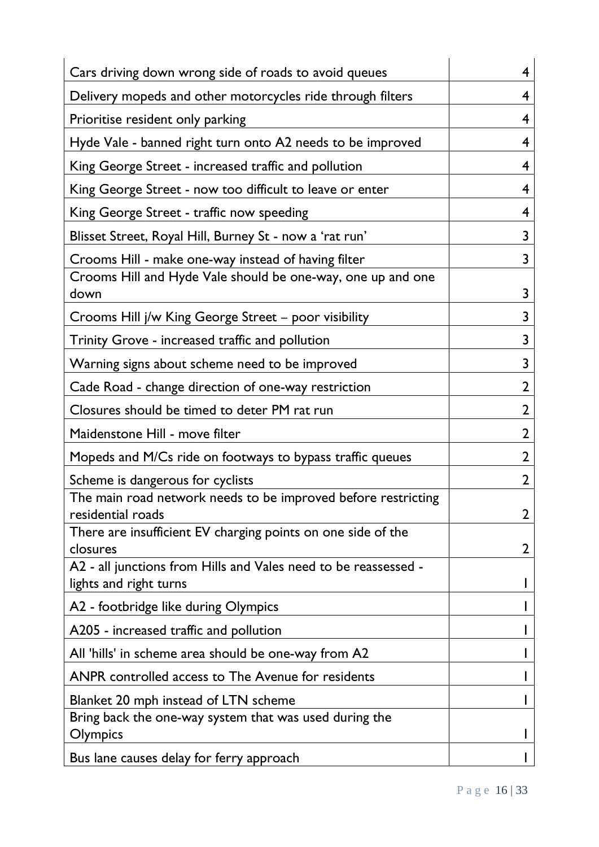| Cars driving down wrong side of roads to avoid queues                                     | 4              |
|-------------------------------------------------------------------------------------------|----------------|
| Delivery mopeds and other motorcycles ride through filters                                | 4              |
| Prioritise resident only parking                                                          | 4              |
| Hyde Vale - banned right turn onto A2 needs to be improved                                | 4              |
| King George Street - increased traffic and pollution                                      | 4              |
| King George Street - now too difficult to leave or enter                                  | 4              |
| King George Street - traffic now speeding                                                 | 4              |
| Blisset Street, Royal Hill, Burney St - now a 'rat run'                                   | 3              |
| Crooms Hill - make one-way instead of having filter                                       | 3              |
| Crooms Hill and Hyde Vale should be one-way, one up and one<br>down                       | 3              |
| Crooms Hill j/w King George Street – poor visibility                                      | 3              |
| Trinity Grove - increased traffic and pollution                                           | 3              |
| Warning signs about scheme need to be improved                                            | 3              |
| Cade Road - change direction of one-way restriction                                       | $\overline{2}$ |
| Closures should be timed to deter PM rat run                                              | $\overline{2}$ |
| Maidenstone Hill - move filter                                                            | $\overline{2}$ |
| Mopeds and M/Cs ride on footways to bypass traffic queues                                 | 2              |
| Scheme is dangerous for cyclists                                                          | 2              |
| The main road network needs to be improved before restricting<br>residential roads        | 2              |
| There are insufficient EV charging points on one side of the<br>closures                  | 2              |
| A2 - all junctions from Hills and Vales need to be reassessed -<br>lights and right turns |                |
| A2 - footbridge like during Olympics                                                      |                |
| A205 - increased traffic and pollution                                                    |                |
| All 'hills' in scheme area should be one-way from A2                                      |                |
| ANPR controlled access to The Avenue for residents                                        |                |
| Blanket 20 mph instead of LTN scheme                                                      |                |
| Bring back the one-way system that was used during the<br>Olympics                        |                |
| Bus lane causes delay for ferry approach                                                  |                |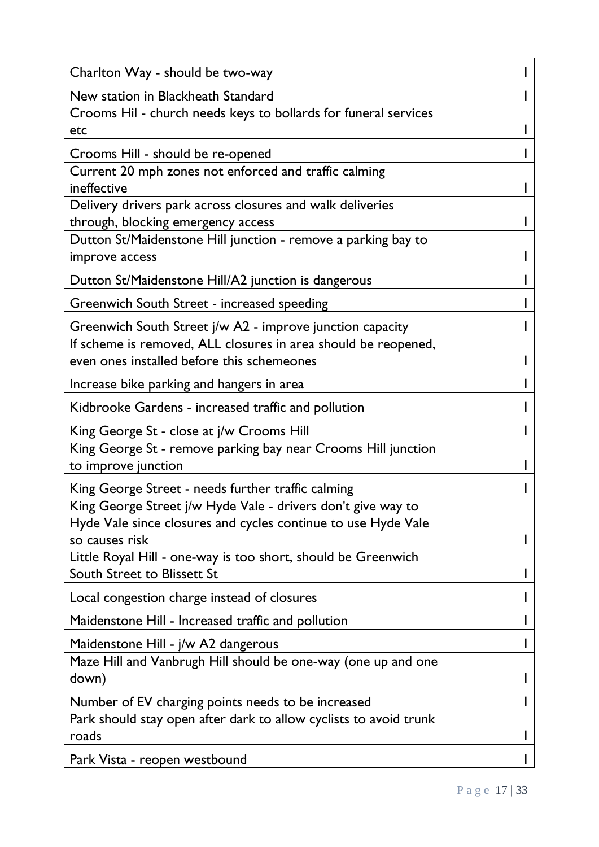| Charlton Way - should be two-way                                                     |  |
|--------------------------------------------------------------------------------------|--|
| New station in Blackheath Standard                                                   |  |
| Crooms Hil - church needs keys to bollards for funeral services                      |  |
| etc                                                                                  |  |
| Crooms Hill - should be re-opened                                                    |  |
| Current 20 mph zones not enforced and traffic calming                                |  |
| ineffective                                                                          |  |
| Delivery drivers park across closures and walk deliveries                            |  |
| through, blocking emergency access                                                   |  |
| Dutton St/Maidenstone Hill junction - remove a parking bay to<br>improve access      |  |
| Dutton St/Maidenstone Hill/A2 junction is dangerous                                  |  |
| Greenwich South Street - increased speeding                                          |  |
| Greenwich South Street j/w A2 - improve junction capacity                            |  |
| If scheme is removed, ALL closures in area should be reopened,                       |  |
| even ones installed before this schemeones                                           |  |
| Increase bike parking and hangers in area                                            |  |
| Kidbrooke Gardens - increased traffic and pollution                                  |  |
| King George St - close at j/w Crooms Hill                                            |  |
| King George St - remove parking bay near Crooms Hill junction<br>to improve junction |  |
| King George Street - needs further traffic calming                                   |  |
| King George Street j/w Hyde Vale - drivers don't give way to                         |  |
| Hyde Vale since closures and cycles continue to use Hyde Vale<br>so causes risk      |  |
| Little Royal Hill - one-way is too short, should be Greenwich                        |  |
| South Street to Blissett St                                                          |  |
| Local congestion charge instead of closures                                          |  |
| Maidenstone Hill - Increased traffic and pollution                                   |  |
| Maidenstone Hill - j/w A2 dangerous                                                  |  |
| Maze Hill and Vanbrugh Hill should be one-way (one up and one<br>down)               |  |
| Number of EV charging points needs to be increased                                   |  |
| Park should stay open after dark to allow cyclists to avoid trunk<br>roads           |  |
| Park Vista - reopen westbound                                                        |  |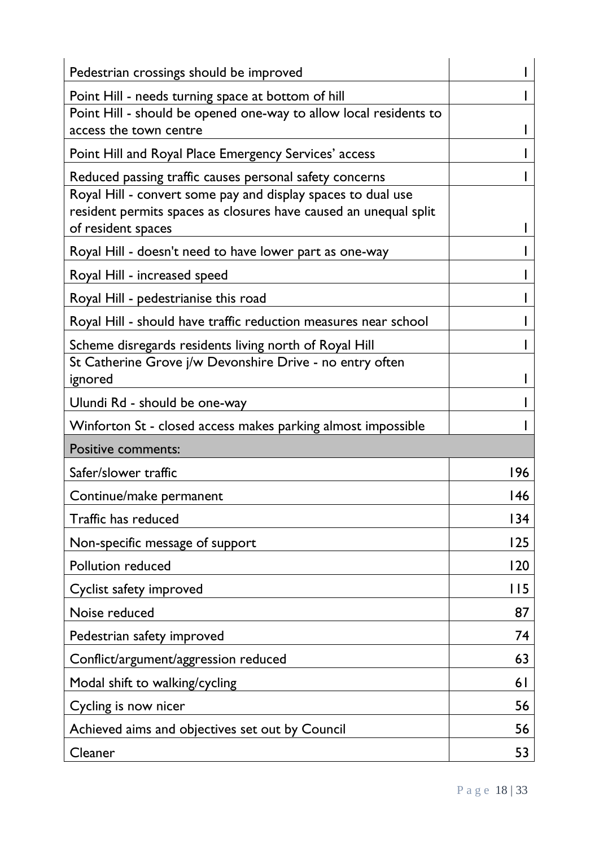| Pedestrian crossings should be improved                                                                                 |      |
|-------------------------------------------------------------------------------------------------------------------------|------|
| Point Hill - needs turning space at bottom of hill                                                                      |      |
| Point Hill - should be opened one-way to allow local residents to                                                       |      |
| access the town centre                                                                                                  |      |
| Point Hill and Royal Place Emergency Services' access                                                                   |      |
| Reduced passing traffic causes personal safety concerns<br>Royal Hill - convert some pay and display spaces to dual use |      |
| resident permits spaces as closures have caused an unequal split<br>of resident spaces                                  |      |
| Royal Hill - doesn't need to have lower part as one-way                                                                 |      |
| Royal Hill - increased speed                                                                                            |      |
| Royal Hill - pedestrianise this road                                                                                    |      |
| Royal Hill - should have traffic reduction measures near school                                                         |      |
| Scheme disregards residents living north of Royal Hill                                                                  |      |
| St Catherine Grove j/w Devonshire Drive - no entry often<br>ignored                                                     |      |
| Ulundi Rd - should be one-way                                                                                           |      |
|                                                                                                                         |      |
| Winforton St - closed access makes parking almost impossible                                                            |      |
| <b>Positive comments:</b>                                                                                               |      |
| Safer/slower traffic                                                                                                    | 196  |
| Continue/make permanent                                                                                                 | 146  |
| Traffic has reduced                                                                                                     | 134  |
| Non-specific message of support                                                                                         | 125  |
| <b>Pollution reduced</b>                                                                                                | 120  |
| Cyclist safety improved                                                                                                 | l 15 |
| Noise reduced                                                                                                           | 87   |
| Pedestrian safety improved                                                                                              | 74   |
| Conflict/argument/aggression reduced                                                                                    | 63   |
| Modal shift to walking/cycling                                                                                          | 61   |
| Cycling is now nicer                                                                                                    | 56   |
| Achieved aims and objectives set out by Council                                                                         | 56   |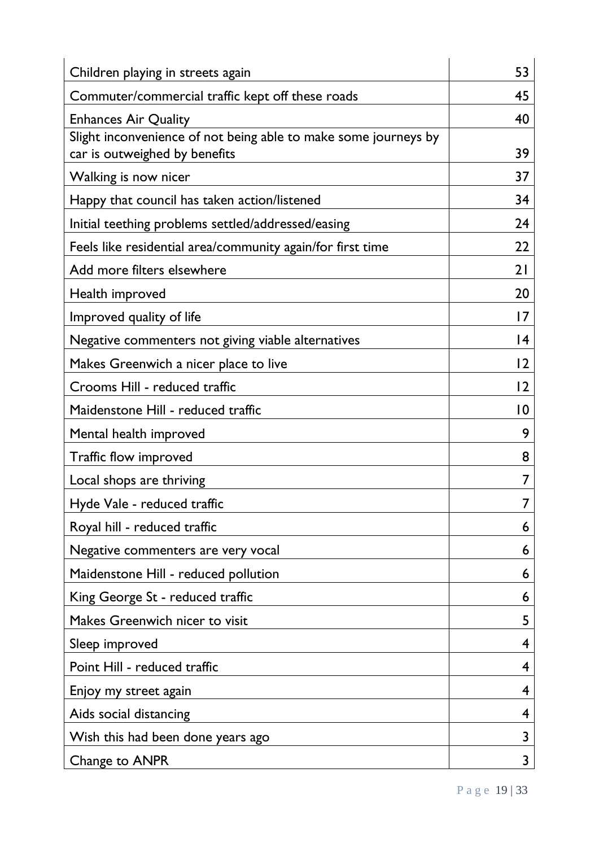| Children playing in streets again                                                              | 53 |
|------------------------------------------------------------------------------------------------|----|
| Commuter/commercial traffic kept off these roads                                               | 45 |
| <b>Enhances Air Quality</b><br>Slight inconvenience of not being able to make some journeys by | 40 |
| car is outweighed by benefits                                                                  | 39 |
| Walking is now nicer                                                                           | 37 |
| Happy that council has taken action/listened                                                   | 34 |
| Initial teething problems settled/addressed/easing                                             | 24 |
| Feels like residential area/community again/for first time                                     | 22 |
| Add more filters elsewhere                                                                     | 21 |
| Health improved                                                                                | 20 |
| Improved quality of life                                                                       | 7  |
| Negative commenters not giving viable alternatives                                             | 4  |
| Makes Greenwich a nicer place to live                                                          | 2  |
| Crooms Hill - reduced traffic                                                                  | 2  |
| Maidenstone Hill - reduced traffic                                                             | 10 |
| Mental health improved                                                                         | 9  |
| Traffic flow improved                                                                          | 8  |
| Local shops are thriving                                                                       |    |
| Hyde Vale - reduced traffic                                                                    | 7  |
| Royal hill - reduced traffic                                                                   | 6  |
| Negative commenters are very vocal                                                             | 6  |
| Maidenstone Hill - reduced pollution                                                           | 6  |
| King George St - reduced traffic                                                               | 6  |
| Makes Greenwich nicer to visit                                                                 | 5  |
| Sleep improved                                                                                 | 4  |
| Point Hill - reduced traffic                                                                   | 4  |
| Enjoy my street again                                                                          | 4  |
| Aids social distancing                                                                         | 4  |
| Wish this had been done years ago                                                              | 3  |
| Change to ANPR                                                                                 | 3  |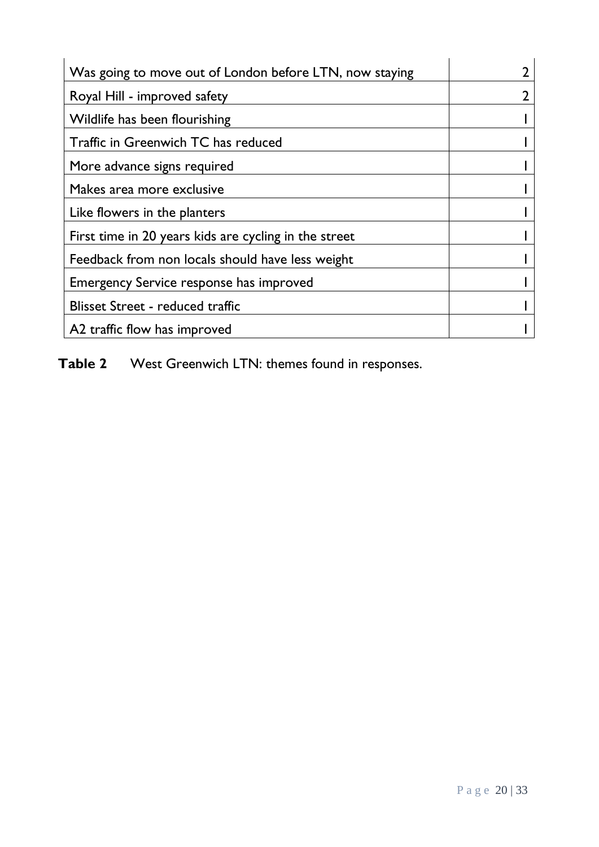| Was going to move out of London before LTN, now staying |  |
|---------------------------------------------------------|--|
| Royal Hill - improved safety                            |  |
| Wildlife has been flourishing                           |  |
| Traffic in Greenwich TC has reduced                     |  |
| More advance signs required                             |  |
| Makes area more exclusive                               |  |
| Like flowers in the planters                            |  |
| First time in 20 years kids are cycling in the street   |  |
| Feedback from non locals should have less weight        |  |
| Emergency Service response has improved                 |  |
| <b>Blisset Street - reduced traffic</b>                 |  |
| A2 traffic flow has improved                            |  |

**Table 2** West Greenwich LTN: themes found in responses.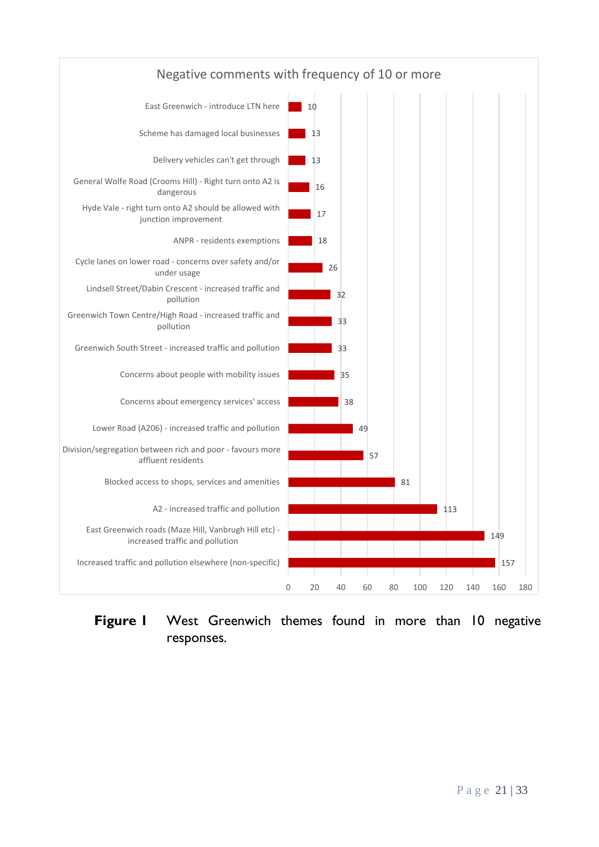

# **Figure 1** West Greenwich themes found in more than 10 negative responses.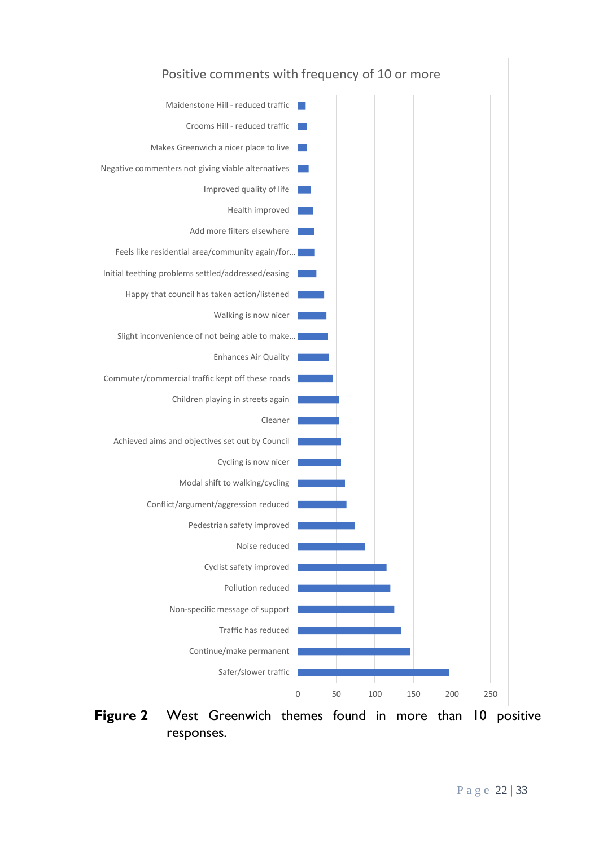

responses.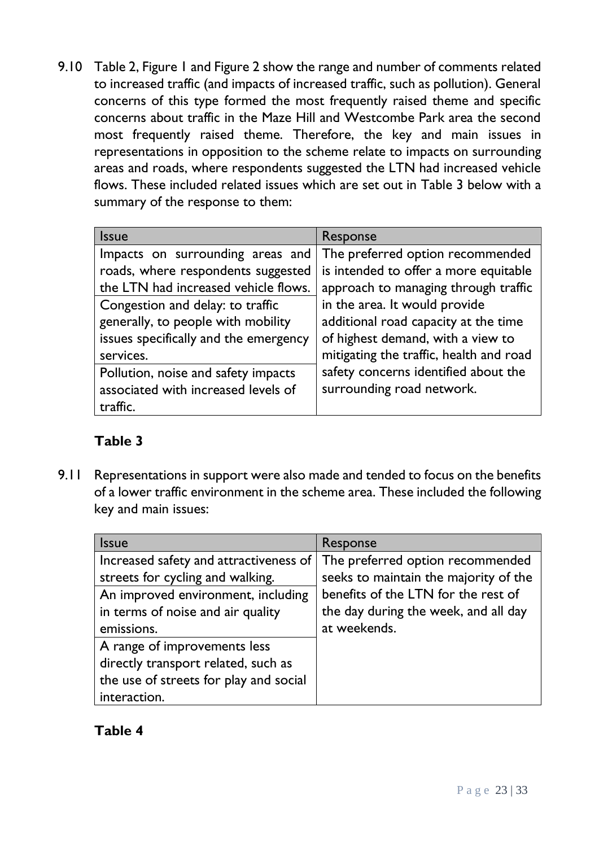9.10 Table 2, Figure 1 and Figure 2 show the range and number of comments related to increased traffic (and impacts of increased traffic, such as pollution). General concerns of this type formed the most frequently raised theme and specific concerns about traffic in the Maze Hill and Westcombe Park area the second most frequently raised theme. Therefore, the key and main issues in representations in opposition to the scheme relate to impacts on surrounding areas and roads, where respondents suggested the LTN had increased vehicle flows. These included related issues which are set out in Table 3 below with a summary of the response to them:

| <b>Issue</b>                          | Response                                |
|---------------------------------------|-----------------------------------------|
| Impacts on surrounding areas and      | The preferred option recommended        |
| roads, where respondents suggested    | is intended to offer a more equitable   |
| the LTN had increased vehicle flows.  | approach to managing through traffic    |
| Congestion and delay: to traffic      | in the area. It would provide           |
| generally, to people with mobility    | additional road capacity at the time    |
| issues specifically and the emergency | of highest demand, with a view to       |
| services.                             | mitigating the traffic, health and road |
| Pollution, noise and safety impacts   | safety concerns identified about the    |
| associated with increased levels of   | surrounding road network.               |
| traffic.                              |                                         |

# **Table 3**

9.11 Representations in support were also made and tended to focus on the benefits of a lower traffic environment in the scheme area. These included the following key and main issues:

| <b>Issue</b>                           | Response                              |
|----------------------------------------|---------------------------------------|
| Increased safety and attractiveness of | The preferred option recommended      |
| streets for cycling and walking.       | seeks to maintain the majority of the |
| An improved environment, including     | benefits of the LTN for the rest of   |
| in terms of noise and air quality      | the day during the week, and all day  |
| emissions.                             | at weekends.                          |
| A range of improvements less           |                                       |
| directly transport related, such as    |                                       |
| the use of streets for play and social |                                       |
| interaction.                           |                                       |

# **Table 4**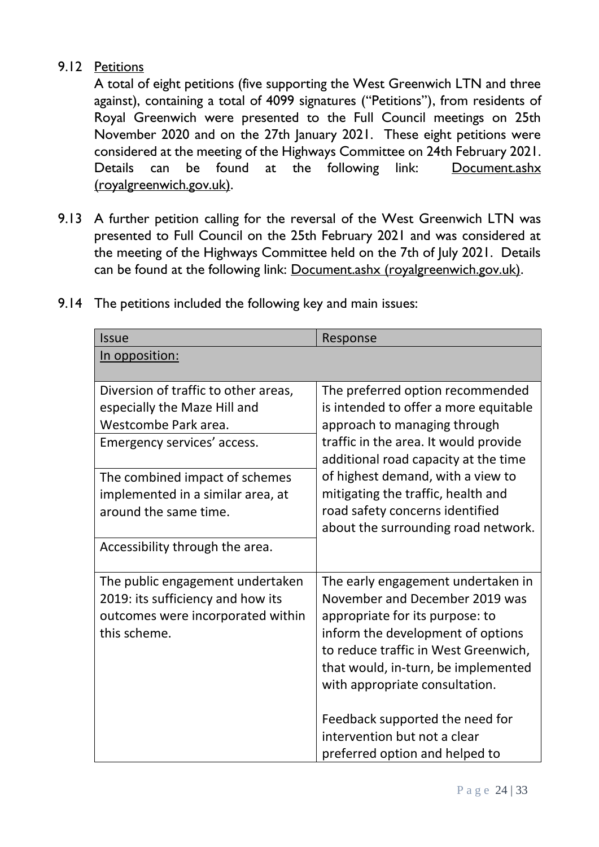### 9.12 Petitions

A total of eight petitions (five supporting the West Greenwich LTN and three against), containing a total of 4099 signatures ("Petitions"), from residents of Royal Greenwich were presented to the Full Council meetings on 25th November 2020 and on the 27th January 2021. These eight petitions were considered at the meeting of the Highways Committee on 24th February 2021. Details can be found at the following link: Document.ashx [\(royalgreenwich.gov.uk\).](https://committees.royalgreenwich.gov.uk/Document.ashx?czJKcaeAi5tUFL1DTL2UE4zNRBcoShgo=szloYMIaV3JGBbJcFtHPypDvB%2fiC671ARfPDUsxBpV4TP6rPcpA0AQ%3d%3d&rUzwRPf%2bZ3zd4E7Ikn8Lyw%3d%3d=pwRE6AGJFLDNlh225F5QMaQWCtPHwdhUfCZ%2fLUQzgA2uL5jNRG4jdQ%3d%3d&mCTIbCubSFfXsDGW9IXnlg%3d%3d=hFflUdN3100%3d&kCx1AnS9%2fpWZQ40DXFvdEw%3d%3d=hFflUdN3100%3d&uJovDxwdjMPoYv%2bAJvYtyA%3d%3d=ctNJFf55vVA%3d&FgPlIEJYlotS%2bYGoBi5olA%3d%3d=NHdURQburHA%3d&d9Qjj0ag1Pd993jsyOJqFvmyB7X0CSQK=ctNJFf55vVA%3d&WGewmoAfeNR9xqBux0r1Q8Za60lavYmz=ctNJFf55vVA%3d&WGewmoAfeNQ16B2MHuCpMRKZMwaG1PaO=ctNJFf55vVA%3d)

9.13 A further petition calling for the reversal of the West Greenwich LTN was presented to Full Council on the 25th February 2021 and was considered at the meeting of the Highways Committee held on the 7th of July 2021. Details can be found at the following link: [Document.ashx \(royalgreenwich.gov.uk\).](https://committees.royalgreenwich.gov.uk/Document.ashx?czJKcaeAi5tUFL1DTL2UE4zNRBcoShgo=g1x90MXwv6jwN1PmrY4LhxnA%2f%2b2ToskskT%2bakxCiLWvegRM44jq6ug%3d%3d&rUzwRPf%2bZ3zd4E7Ikn8Lyw%3d%3d=pwRE6AGJFLDNlh225F5QMaQWCtPHwdhUfCZ%2fLUQzgA2uL5jNRG4jdQ%3d%3d&mCTIbCubSFfXsDGW9IXnlg%3d%3d=hFflUdN3100%3d&kCx1AnS9%2fpWZQ40DXFvdEw%3d%3d=hFflUdN3100%3d&uJovDxwdjMPoYv%2bAJvYtyA%3d%3d=ctNJFf55vVA%3d&FgPlIEJYlotS%2bYGoBi5olA%3d%3d=NHdURQburHA%3d&d9Qjj0ag1Pd993jsyOJqFvmyB7X0CSQK=ctNJFf55vVA%3d&WGewmoAfeNR9xqBux0r1Q8Za60lavYmz=ctNJFf55vVA%3d&WGewmoAfeNQ16B2MHuCpMRKZMwaG1PaO=ctNJFf55vVA%3d)

| <b>Issue</b>                                                                                                                                                                                                                | Response                                                                                                                                                                                                                                                                                                                                        |
|-----------------------------------------------------------------------------------------------------------------------------------------------------------------------------------------------------------------------------|-------------------------------------------------------------------------------------------------------------------------------------------------------------------------------------------------------------------------------------------------------------------------------------------------------------------------------------------------|
| In opposition:                                                                                                                                                                                                              |                                                                                                                                                                                                                                                                                                                                                 |
| Diversion of traffic to other areas,<br>especially the Maze Hill and<br>Westcombe Park area.<br>Emergency services' access.<br>The combined impact of schemes<br>implemented in a similar area, at<br>around the same time. | The preferred option recommended<br>is intended to offer a more equitable<br>approach to managing through<br>traffic in the area. It would provide<br>additional road capacity at the time<br>of highest demand, with a view to<br>mitigating the traffic, health and<br>road safety concerns identified<br>about the surrounding road network. |
| Accessibility through the area.                                                                                                                                                                                             |                                                                                                                                                                                                                                                                                                                                                 |
| The public engagement undertaken<br>2019: its sufficiency and how its<br>outcomes were incorporated within<br>this scheme.                                                                                                  | The early engagement undertaken in<br>November and December 2019 was<br>appropriate for its purpose: to<br>inform the development of options<br>to reduce traffic in West Greenwich,<br>that would, in-turn, be implemented<br>with appropriate consultation.<br>Feedback supported the need for                                                |
|                                                                                                                                                                                                                             | intervention but not a clear<br>preferred option and helped to                                                                                                                                                                                                                                                                                  |

9.14 The petitions included the following key and main issues: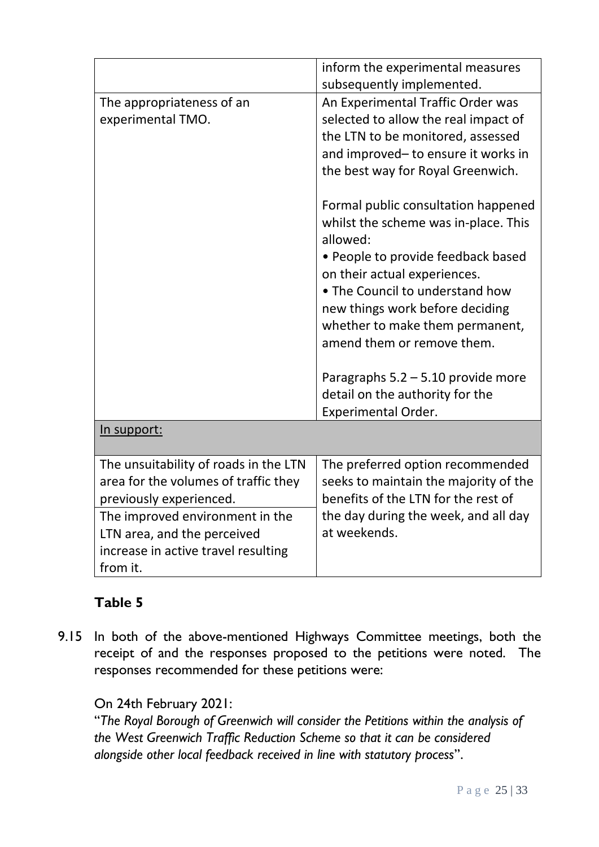|                                                                                                                                                                                                                               | inform the experimental measures<br>subsequently implemented.                                                                                                                                                                                                                                                                                                                                                                                                                                                                             |
|-------------------------------------------------------------------------------------------------------------------------------------------------------------------------------------------------------------------------------|-------------------------------------------------------------------------------------------------------------------------------------------------------------------------------------------------------------------------------------------------------------------------------------------------------------------------------------------------------------------------------------------------------------------------------------------------------------------------------------------------------------------------------------------|
| The appropriateness of an<br>experimental TMO.                                                                                                                                                                                | An Experimental Traffic Order was<br>selected to allow the real impact of<br>the LTN to be monitored, assessed<br>and improved-to ensure it works in<br>the best way for Royal Greenwich.<br>Formal public consultation happened<br>whilst the scheme was in-place. This<br>allowed:<br>• People to provide feedback based<br>on their actual experiences.<br>• The Council to understand how<br>new things work before deciding<br>whether to make them permanent,<br>amend them or remove them.<br>Paragraphs $5.2 - 5.10$ provide more |
|                                                                                                                                                                                                                               | detail on the authority for the<br><b>Experimental Order.</b>                                                                                                                                                                                                                                                                                                                                                                                                                                                                             |
| In support:                                                                                                                                                                                                                   |                                                                                                                                                                                                                                                                                                                                                                                                                                                                                                                                           |
| The unsuitability of roads in the LTN<br>area for the volumes of traffic they<br>previously experienced.<br>The improved environment in the<br>LTN area, and the perceived<br>increase in active travel resulting<br>from it. | The preferred option recommended<br>seeks to maintain the majority of the<br>benefits of the LTN for the rest of<br>the day during the week, and all day<br>at weekends.                                                                                                                                                                                                                                                                                                                                                                  |

# **Table 5**

9.15 In both of the above-mentioned Highways Committee meetings, both the receipt of and the responses proposed to the petitions were noted. The responses recommended for these petitions were:

# On 24th February 2021:

"*The Royal Borough of Greenwich will consider the Petitions within the analysis of the West Greenwich Traffic Reduction Scheme so that it can be considered alongside other local feedback received in line with statutory process*".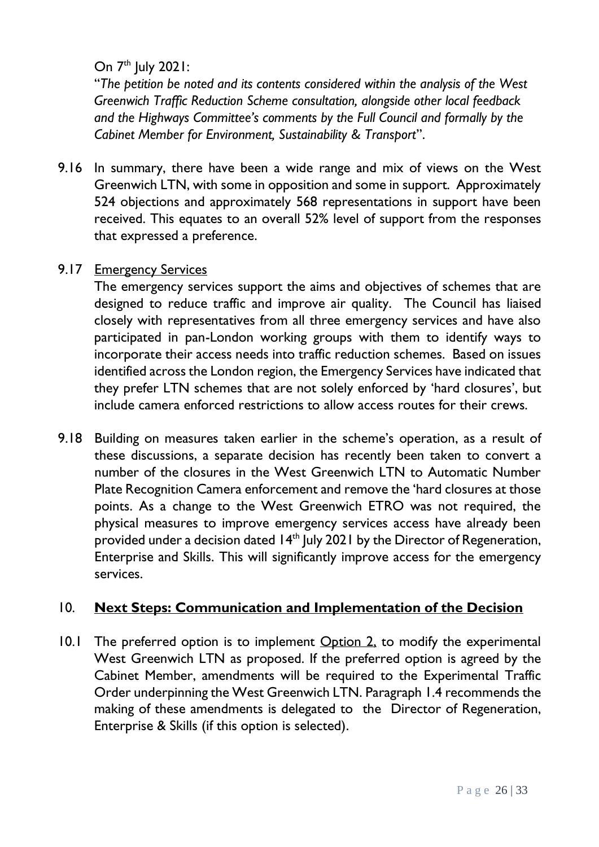# On  $7<sup>th</sup>$  July 2021:

"*The petition be noted and its contents considered within the analysis of the West Greenwich Traffic Reduction Scheme consultation, alongside other local feedback and the Highways Committee's comments by the Full Council and formally by the Cabinet Member for Environment, Sustainability & Transport*".

9.16 In summary, there have been a wide range and mix of views on the West Greenwich LTN, with some in opposition and some in support. Approximately 524 objections and approximately 568 representations in support have been received. This equates to an overall 52% level of support from the responses that expressed a preference.

### 9.17 Emergency Services

The emergency services support the aims and objectives of schemes that are designed to reduce traffic and improve air quality. The Council has liaised closely with representatives from all three emergency services and have also participated in pan-London working groups with them to identify ways to incorporate their access needs into traffic reduction schemes. Based on issues identified across the London region, the Emergency Services have indicated that they prefer LTN schemes that are not solely enforced by 'hard closures', but include camera enforced restrictions to allow access routes for their crews.

9.18 Building on measures taken earlier in the scheme's operation, as a result of these discussions, a separate decision has recently been taken to convert a number of the closures in the West Greenwich LTN to Automatic Number Plate Recognition Camera enforcement and remove the 'hard closures at those points. As a change to the West Greenwich ETRO was not required, the physical measures to improve emergency services access have already been provided under a decision dated 14<sup>th</sup> July 2021 by the Director of Regeneration, Enterprise and Skills. This will significantly improve access for the emergency services.

### 10. **Next Steps: Communication and Implementation of the Decision**

10.1 The preferred option is to implement Option 2, to modify the experimental West Greenwich LTN as proposed. If the preferred option is agreed by the Cabinet Member, amendments will be required to the Experimental Traffic Order underpinning the West Greenwich LTN. Paragraph 1.4 recommends the making of these amendments is delegated to the Director of Regeneration, Enterprise & Skills (if this option is selected).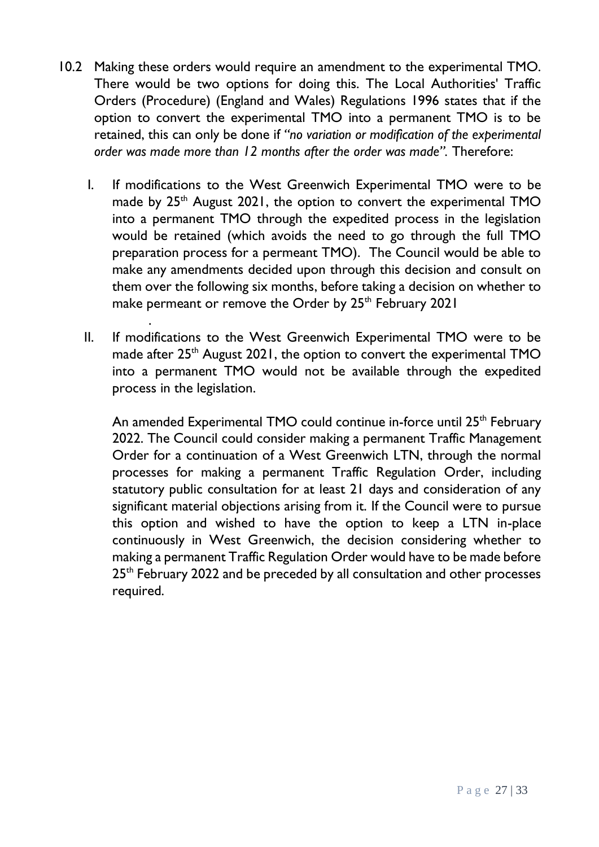- 10.2 Making these orders would require an amendment to the experimental TMO. There would be two options for doing this. The Local Authorities' Traffic Orders (Procedure) (England and Wales) Regulations 1996 states that if the option to convert the experimental TMO into a permanent TMO is to be retained, this can only be done if *"no variation or modification of the experimental order was made more than 12 months after the order was made".* Therefore:
	- I. If modifications to the West Greenwich Experimental TMO were to be made by  $25<sup>th</sup>$  August 2021, the option to convert the experimental TMO into a permanent TMO through the expedited process in the legislation would be retained (which avoids the need to go through the full TMO preparation process for a permeant TMO). The Council would be able to make any amendments decided upon through this decision and consult on them over the following six months, before taking a decision on whether to make permeant or remove the Order by 25<sup>th</sup> February 2021
	- II. If modifications to the West Greenwich Experimental TMO were to be made after 25<sup>th</sup> August 2021, the option to convert the experimental TMO into a permanent TMO would not be available through the expedited process in the legislation.

.

An amended Experimental TMO could continue in-force until 25<sup>th</sup> February 2022. The Council could consider making a permanent Traffic Management Order for a continuation of a West Greenwich LTN, through the normal processes for making a permanent Traffic Regulation Order, including statutory public consultation for at least 21 days and consideration of any significant material objections arising from it. If the Council were to pursue this option and wished to have the option to keep a LTN in-place continuously in West Greenwich, the decision considering whether to making a permanent Traffic Regulation Order would have to be made before 25<sup>th</sup> February 2022 and be preceded by all consultation and other processes required.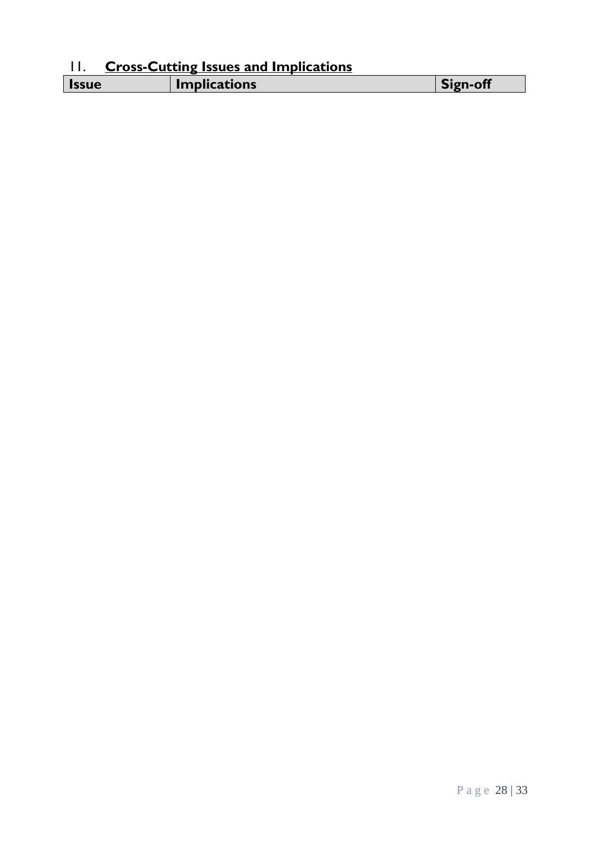# 11. **Cross-Cutting Issues and Implications**

| . |                     |  |
|---|---------------------|--|
|   | <b>Implications</b> |  |
|   |                     |  |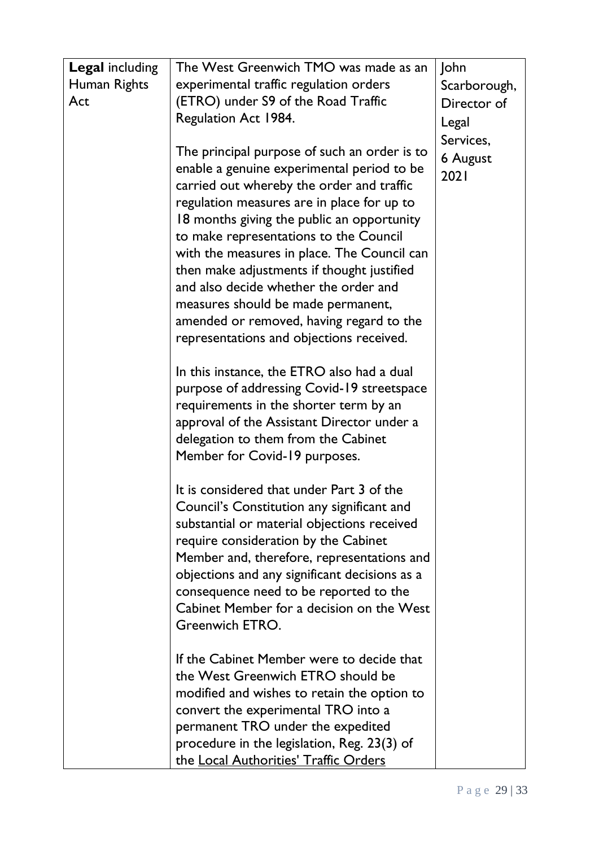| <b>Legal including</b> | The West Greenwich TMO was made as an                                                | John            |
|------------------------|--------------------------------------------------------------------------------------|-----------------|
| Human Rights           | experimental traffic regulation orders                                               | Scarborough,    |
| Act                    | (ETRO) under S9 of the Road Traffic                                                  | Director of     |
|                        | Regulation Act 1984.                                                                 | Legal           |
|                        |                                                                                      | Services,       |
|                        | The principal purpose of such an order is to                                         | <b>6 August</b> |
|                        | enable a genuine experimental period to be                                           | 2021            |
|                        | carried out whereby the order and traffic                                            |                 |
|                        | regulation measures are in place for up to                                           |                 |
|                        | 18 months giving the public an opportunity                                           |                 |
|                        | to make representations to the Council                                               |                 |
|                        | with the measures in place. The Council can                                          |                 |
|                        | then make adjustments if thought justified                                           |                 |
|                        | and also decide whether the order and                                                |                 |
|                        | measures should be made permanent,                                                   |                 |
|                        | amended or removed, having regard to the<br>representations and objections received. |                 |
|                        |                                                                                      |                 |
|                        | In this instance, the ETRO also had a dual                                           |                 |
|                        | purpose of addressing Covid-19 streetspace                                           |                 |
|                        | requirements in the shorter term by an                                               |                 |
|                        | approval of the Assistant Director under a                                           |                 |
|                        | delegation to them from the Cabinet                                                  |                 |
|                        | Member for Covid-19 purposes.                                                        |                 |
|                        |                                                                                      |                 |
|                        | It is considered that under Part 3 of the                                            |                 |
|                        | Council's Constitution any significant and                                           |                 |
|                        | substantial or material objections received                                          |                 |
|                        | require consideration by the Cabinet                                                 |                 |
|                        | Member and, therefore, representations and                                           |                 |
|                        | objections and any significant decisions as a                                        |                 |
|                        | consequence need to be reported to the<br>Cabinet Member for a decision on the West  |                 |
|                        | Greenwich ETRO.                                                                      |                 |
|                        |                                                                                      |                 |
|                        | If the Cabinet Member were to decide that                                            |                 |
|                        | the West Greenwich ETRO should be                                                    |                 |
|                        | modified and wishes to retain the option to                                          |                 |
|                        | convert the experimental TRO into a                                                  |                 |
|                        | permanent TRO under the expedited                                                    |                 |
|                        | procedure in the legislation, Reg. 23(3) of                                          |                 |
|                        | the Local Authorities' Traffic Orders                                                |                 |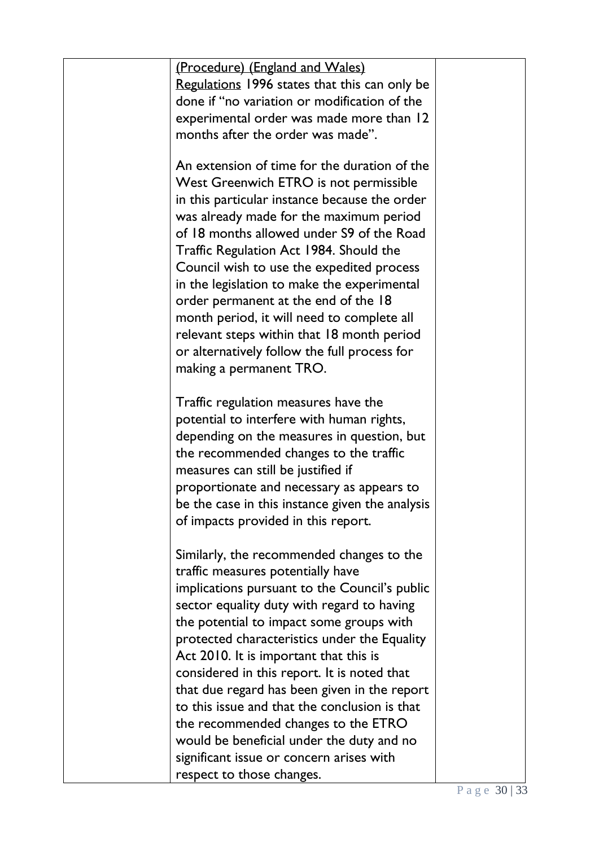| (Procedure) (England and Wales)                 |  |
|-------------------------------------------------|--|
| Regulations 1996 states that this can only be   |  |
| done if "no variation or modification of the    |  |
| experimental order was made more than 12        |  |
| months after the order was made".               |  |
|                                                 |  |
| An extension of time for the duration of the    |  |
| West Greenwich ETRO is not permissible          |  |
| in this particular instance because the order   |  |
| was already made for the maximum period         |  |
| of 18 months allowed under S9 of the Road       |  |
| Traffic Regulation Act 1984. Should the         |  |
| Council wish to use the expedited process       |  |
| in the legislation to make the experimental     |  |
| order permanent at the end of the 18            |  |
| month period, it will need to complete all      |  |
| relevant steps within that 18 month period      |  |
| or alternatively follow the full process for    |  |
| making a permanent TRO.                         |  |
|                                                 |  |
| Traffic regulation measures have the            |  |
| potential to interfere with human rights,       |  |
| depending on the measures in question, but      |  |
| the recommended changes to the traffic          |  |
| measures can still be justified if              |  |
| proportionate and necessary as appears to       |  |
| be the case in this instance given the analysis |  |
| of impacts provided in this report.             |  |
|                                                 |  |
| Similarly, the recommended changes to the       |  |
| traffic measures potentially have               |  |
| implications pursuant to the Council's public   |  |
| sector equality duty with regard to having      |  |
| the potential to impact some groups with        |  |
| protected characteristics under the Equality    |  |
| Act 2010. It is important that this is          |  |
| considered in this report. It is noted that     |  |
| that due regard has been given in the report    |  |
| to this issue and that the conclusion is that   |  |
| the recommended changes to the ETRO             |  |
| would be beneficial under the duty and no       |  |
| significant issue or concern arises with        |  |
| respect to those changes.                       |  |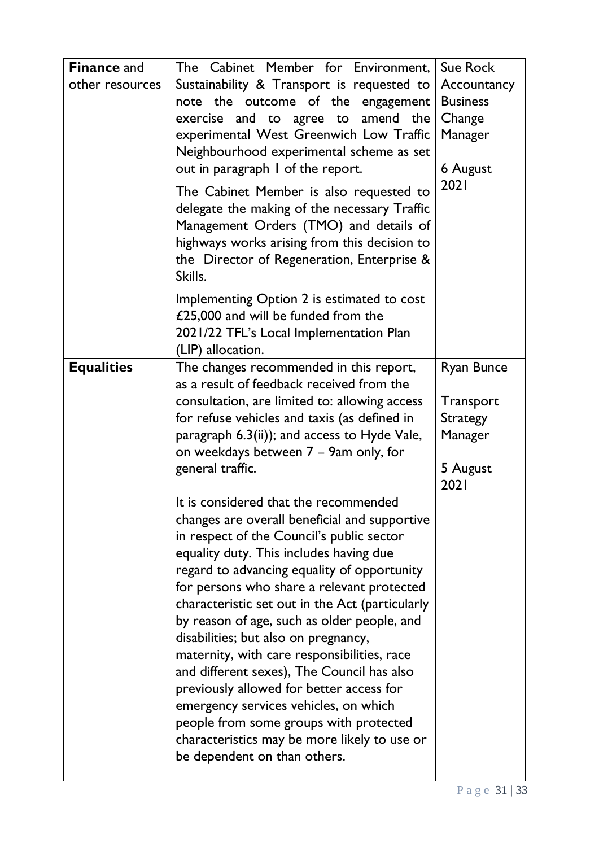| <b>Finance and</b><br>other resources | The Cabinet Member for Environment,<br>Sustainability & Transport is requested to<br>note the outcome of the engagement<br>exercise and to agree to<br>amend the<br>experimental West Greenwich Low Traffic<br>Neighbourhood experimental scheme as set<br>out in paragraph I of the report.<br>The Cabinet Member is also requested to<br>delegate the making of the necessary Traffic<br>Management Orders (TMO) and details of<br>highways works arising from this decision to<br>the Director of Regeneration, Enterprise &<br>Skills.                                                                                                                                                                                        | Sue Rock<br>Accountancy<br><b>Business</b><br>Change<br>Manager<br>6 August<br>2021 |
|---------------------------------------|-----------------------------------------------------------------------------------------------------------------------------------------------------------------------------------------------------------------------------------------------------------------------------------------------------------------------------------------------------------------------------------------------------------------------------------------------------------------------------------------------------------------------------------------------------------------------------------------------------------------------------------------------------------------------------------------------------------------------------------|-------------------------------------------------------------------------------------|
|                                       | Implementing Option 2 is estimated to cost<br>£25,000 and will be funded from the<br>2021/22 TFL's Local Implementation Plan<br>(LIP) allocation.                                                                                                                                                                                                                                                                                                                                                                                                                                                                                                                                                                                 |                                                                                     |
| <b>Equalities</b>                     | The changes recommended in this report,<br>as a result of feedback received from the<br>consultation, are limited to: allowing access<br>for refuse vehicles and taxis (as defined in<br>paragraph 6.3(ii)); and access to Hyde Vale,<br>on weekdays between 7 – 9am only, for<br>general traffic.                                                                                                                                                                                                                                                                                                                                                                                                                                | <b>Ryan Bunce</b><br>Transport<br><b>Strategy</b><br>Manager<br>5 August<br>2021    |
|                                       | It is considered that the recommended<br>changes are overall beneficial and supportive<br>in respect of the Council's public sector<br>equality duty. This includes having due<br>regard to advancing equality of opportunity<br>for persons who share a relevant protected<br>characteristic set out in the Act (particularly<br>by reason of age, such as older people, and<br>disabilities; but also on pregnancy,<br>maternity, with care responsibilities, race<br>and different sexes), The Council has also<br>previously allowed for better access for<br>emergency services vehicles, on which<br>people from some groups with protected<br>characteristics may be more likely to use or<br>be dependent on than others. |                                                                                     |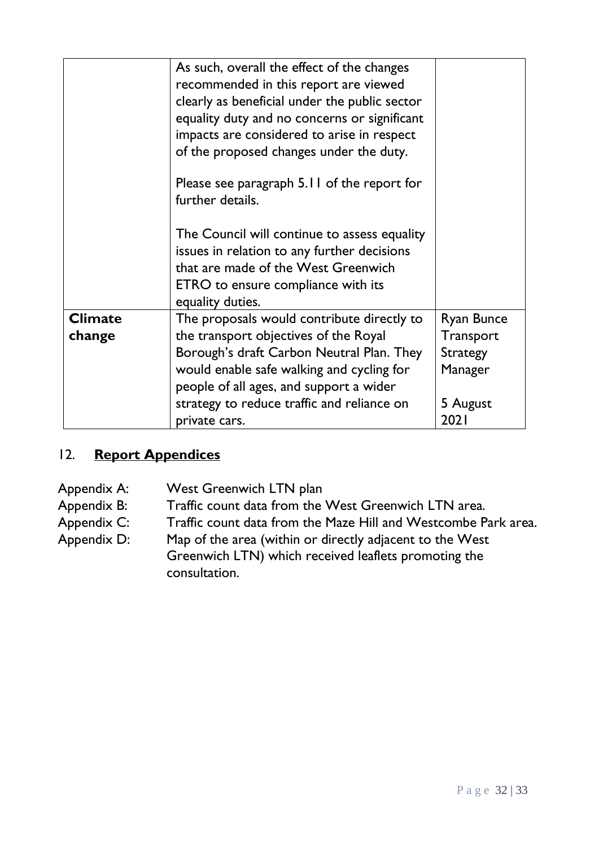|                          | As such, overall the effect of the changes<br>recommended in this report are viewed<br>clearly as beneficial under the public sector<br>equality duty and no concerns or significant<br>impacts are considered to arise in respect<br>of the proposed changes under the duty.<br>Please see paragraph 5.11 of the report for<br>further details. |                                                                                         |
|--------------------------|--------------------------------------------------------------------------------------------------------------------------------------------------------------------------------------------------------------------------------------------------------------------------------------------------------------------------------------------------|-----------------------------------------------------------------------------------------|
|                          | The Council will continue to assess equality<br>issues in relation to any further decisions<br>that are made of the West Greenwich<br><b>ETRO</b> to ensure compliance with its<br>equality duties.                                                                                                                                              |                                                                                         |
| <b>Climate</b><br>change | The proposals would contribute directly to<br>the transport objectives of the Royal<br>Borough's draft Carbon Neutral Plan. They<br>would enable safe walking and cycling for<br>people of all ages, and support a wider<br>strategy to reduce traffic and reliance on<br>private cars.                                                          | <b>Ryan Bunce</b><br><b>Transport</b><br><b>Strategy</b><br>Manager<br>5 August<br>2021 |

# 12. **Report Appendices**

Appendix A: West Greenwich LTN plan

Appendix B: Traffic count data from the West Greenwich LTN area.

Appendix C: Traffic count data from the Maze Hill and Westcombe Park area.

Appendix D: Map of the area (within or directly adjacent to the West Greenwich LTN) which received leaflets promoting the

consultation.